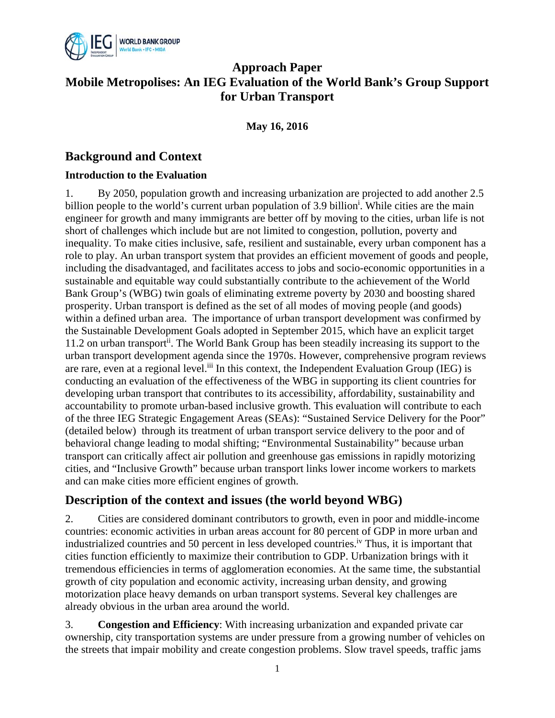

## **Approach Paper Mobile Metropolises: An IEG Evaluation of the World Bank's Group Support for Urban Transport**

**May 16, 2016** 

## **Background and Context**

### **Introduction to the Evaluation**

1. By 2050, population growth and increasing urbanization are projected to add another 2.5 billion people to the world's current urban population of 3.9 billion<sup>i</sup>. While cities are the main engineer for growth and many immigrants are better off by moving to the cities, urban life is not short of challenges which include but are not limited to congestion, pollution, poverty and inequality. To make cities inclusive, safe, resilient and sustainable, every urban component has a role to play. An urban transport system that provides an efficient movement of goods and people, including the disadvantaged, and facilitates access to jobs and socio-economic opportunities in a sustainable and equitable way could substantially contribute to the achievement of the World Bank Group's (WBG) twin goals of eliminating extreme poverty by 2030 and boosting shared prosperity. Urban transport is defined as the set of all modes of moving people (and goods) within a defined urban area. The importance of urban transport development was confirmed by the Sustainable Development Goals adopted in September 2015, which have an explicit target 11.2 on urban transport<sup>ii</sup>. The World Bank Group has been steadily increasing its support to the urban transport development agenda since the 1970s. However, comprehensive program reviews are rare, even at a regional level.<sup>iii</sup> In this context, the Independent Evaluation Group (IEG) is conducting an evaluation of the effectiveness of the WBG in supporting its client countries for developing urban transport that contributes to its accessibility, affordability, sustainability and accountability to promote urban-based inclusive growth. This evaluation will contribute to each of the three IEG Strategic Engagement Areas (SEAs): "Sustained Service Delivery for the Poor" (detailed below) through its treatment of urban transport service delivery to the poor and of behavioral change leading to modal shifting; "Environmental Sustainability" because urban transport can critically affect air pollution and greenhouse gas emissions in rapidly motorizing cities, and "Inclusive Growth" because urban transport links lower income workers to markets and can make cities more efficient engines of growth.

## **Description of the context and issues (the world beyond WBG)**

2. Cities are considered dominant contributors to growth, even in poor and middle-income countries: economic activities in urban areas account for 80 percent of GDP in more urban and industrialized countries and 50 percent in less developed countries.<sup>iv</sup> Thus, it is important that cities function efficiently to maximize their contribution to GDP. Urbanization brings with it tremendous efficiencies in terms of agglomeration economies. At the same time, the substantial growth of city population and economic activity, increasing urban density, and growing motorization place heavy demands on urban transport systems. Several key challenges are already obvious in the urban area around the world.

3. **Congestion and Efficiency**: With increasing urbanization and expanded private car ownership, city transportation systems are under pressure from a growing number of vehicles on the streets that impair mobility and create congestion problems. Slow travel speeds, traffic jams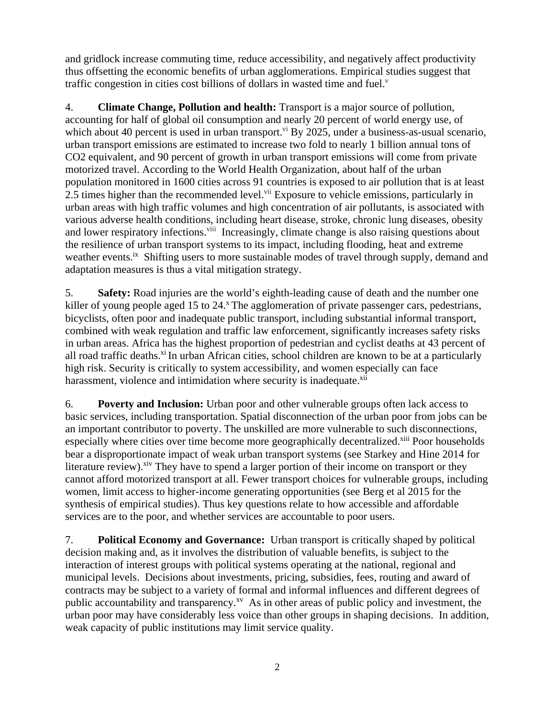and gridlock increase commuting time, reduce accessibility, and negatively affect productivity thus offsetting the economic benefits of urban agglomerations. Empirical studies suggest that traffic congestion in cities cost billions of dollars in wasted time and fuel. $v$ 

4. **Climate Change, Pollution and health:** Transport is a major source of pollution, accounting for half of global oil consumption and nearly 20 percent of world energy use, of which about 40 percent is used in urban transport.<sup>vi</sup> By 2025, under a business-as-usual scenario, urban transport emissions are estimated to increase two fold to nearly 1 billion annual tons of CO2 equivalent, and 90 percent of growth in urban transport emissions will come from private motorized travel. According to the World Health Organization, about half of the urban population monitored in 1600 cities across 91 countries is exposed to air pollution that is at least 2.5 times higher than the recommended level.<sup>vii</sup> Exposure to vehicle emissions, particularly in urban areas with high traffic volumes and high concentration of air pollutants, is associated with various adverse health conditions, including heart disease, stroke, chronic lung diseases, obesity and lower respiratory infections.<sup>viii</sup> Increasingly, climate change is also raising questions about the resilience of urban transport systems to its impact, including flooding, heat and extreme weather events.<sup>ix</sup> Shifting users to more sustainable modes of travel through supply, demand and adaptation measures is thus a vital mitigation strategy.

5. **Safety:** Road injuries are the world's eighth-leading cause of death and the number one killer of young people aged 15 to 24.<sup>x</sup> The agglomeration of private passenger cars, pedestrians, bicyclists, often poor and inadequate public transport, including substantial informal transport, combined with weak regulation and traffic law enforcement, significantly increases safety risks in urban areas. Africa has the highest proportion of pedestrian and cyclist deaths at 43 percent of all road traffic deaths. $x_i$  In urban African cities, school children are known to be at a particularly high risk. Security is critically to system accessibility, and women especially can face harassment, violence and intimidation where security is inadequate.<sup>xii</sup>

6. **Poverty and Inclusion:** Urban poor and other vulnerable groups often lack access to basic services, including transportation. Spatial disconnection of the urban poor from jobs can be an important contributor to poverty. The unskilled are more vulnerable to such disconnections, especially where cities over time become more geographically decentralized.<sup>xiii</sup> Poor households bear a disproportionate impact of weak urban transport systems (see Starkey and Hine 2014 for literature review).<sup>xiv</sup> They have to spend a larger portion of their income on transport or they cannot afford motorized transport at all. Fewer transport choices for vulnerable groups, including women, limit access to higher-income generating opportunities (see Berg et al 2015 for the synthesis of empirical studies). Thus key questions relate to how accessible and affordable services are to the poor, and whether services are accountable to poor users.

7. **Political Economy and Governance:** Urban transport is critically shaped by political decision making and, as it involves the distribution of valuable benefits, is subject to the interaction of interest groups with political systems operating at the national, regional and municipal levels. Decisions about investments, pricing, subsidies, fees, routing and award of contracts may be subject to a variety of formal and informal influences and different degrees of public accountability and transparency.<sup>xv</sup> As in other areas of public policy and investment, the urban poor may have considerably less voice than other groups in shaping decisions. In addition, weak capacity of public institutions may limit service quality.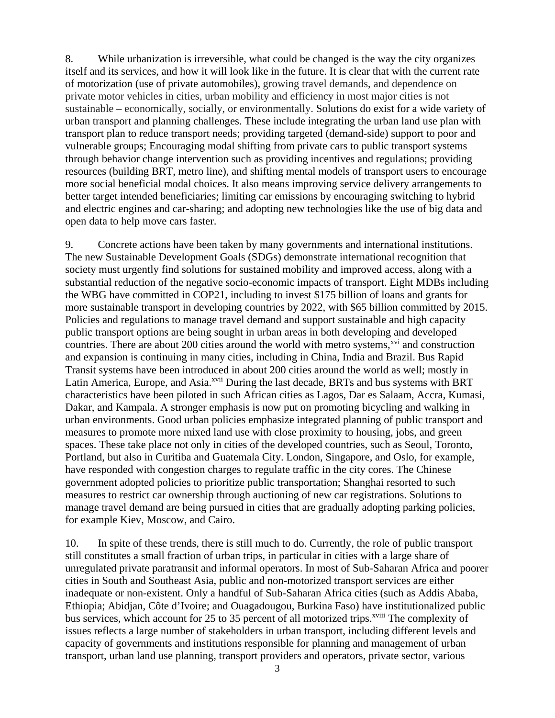8. While urbanization is irreversible, what could be changed is the way the city organizes itself and its services, and how it will look like in the future. It is clear that with the current rate of motorization (use of private automobiles), growing travel demands, and dependence on private motor vehicles in cities, urban mobility and efficiency in most major cities is not sustainable – economically, socially, or environmentally. Solutions do exist for a wide variety of urban transport and planning challenges. These include integrating the urban land use plan with transport plan to reduce transport needs; providing targeted (demand-side) support to poor and vulnerable groups; Encouraging modal shifting from private cars to public transport systems through behavior change intervention such as providing incentives and regulations; providing resources (building BRT, metro line), and shifting mental models of transport users to encourage more social beneficial modal choices. It also means improving service delivery arrangements to better target intended beneficiaries; limiting car emissions by encouraging switching to hybrid and electric engines and car-sharing; and adopting new technologies like the use of big data and open data to help move cars faster.

9. Concrete actions have been taken by many governments and international institutions. The new Sustainable Development Goals (SDGs) demonstrate international recognition that society must urgently find solutions for sustained mobility and improved access, along with a substantial reduction of the negative socio-economic impacts of transport. Eight MDBs including the WBG have committed in COP21, including to invest \$175 billion of loans and grants for more sustainable transport in developing countries by 2022, with \$65 billion committed by 2015. Policies and regulations to manage travel demand and support sustainable and high capacity public transport options are being sought in urban areas in both developing and developed countries. There are about 200 cities around the world with metro systems,<sup>xvi</sup> and construction and expansion is continuing in many cities, including in China, India and Brazil. Bus Rapid Transit systems have been introduced in about 200 cities around the world as well; mostly in Latin America, Europe, and Asia.<sup>xvii</sup> During the last decade, BRTs and bus systems with BRT characteristics have been piloted in such African cities as Lagos, Dar es Salaam, Accra, Kumasi, Dakar, and Kampala. A stronger emphasis is now put on promoting bicycling and walking in urban environments. Good urban policies emphasize integrated planning of public transport and measures to promote more mixed land use with close proximity to housing, jobs, and green spaces. These take place not only in cities of the developed countries, such as Seoul, Toronto, Portland, but also in Curitiba and Guatemala City. London, Singapore, and Oslo, for example, have responded with congestion charges to regulate traffic in the city cores. The Chinese government adopted policies to prioritize public transportation; Shanghai resorted to such measures to restrict car ownership through auctioning of new car registrations. Solutions to manage travel demand are being pursued in cities that are gradually adopting parking policies, for example Kiev, Moscow, and Cairo.

10. In spite of these trends, there is still much to do. Currently, the role of public transport still constitutes a small fraction of urban trips, in particular in cities with a large share of unregulated private paratransit and informal operators. In most of Sub-Saharan Africa and poorer cities in South and Southeast Asia, public and non-motorized transport services are either inadequate or non-existent. Only a handful of Sub-Saharan Africa cities (such as Addis Ababa, Ethiopia; Abidjan, Côte d'Ivoire; and Ouagadougou, Burkina Faso) have institutionalized public bus services, which account for 25 to 35 percent of all motorized trips.<sup>xviii</sup> The complexity of issues reflects a large number of stakeholders in urban transport, including different levels and capacity of governments and institutions responsible for planning and management of urban transport, urban land use planning, transport providers and operators, private sector, various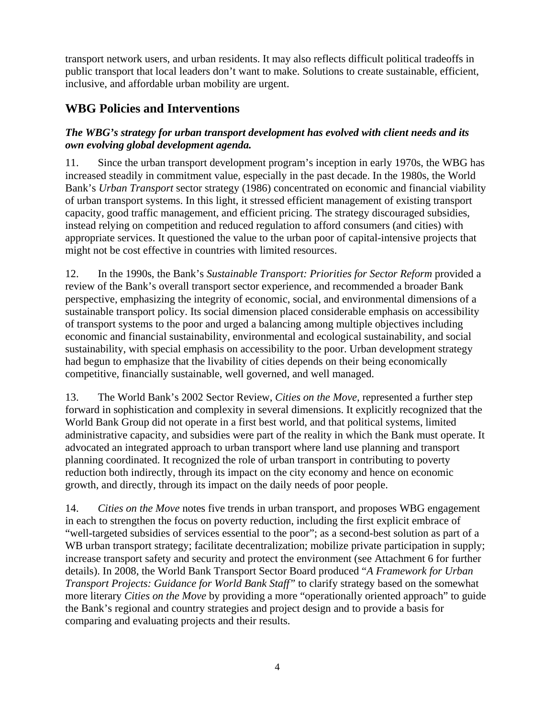transport network users, and urban residents. It may also reflects difficult political tradeoffs in public transport that local leaders don't want to make. Solutions to create sustainable, efficient, inclusive, and affordable urban mobility are urgent.

# **WBG Policies and Interventions**

## *The WBG's strategy for urban transport development has evolved with client needs and its own evolving global development agenda.*

11. Since the urban transport development program's inception in early 1970s, the WBG has increased steadily in commitment value, especially in the past decade. In the 1980s, the World Bank's *Urban Transport* sector strategy (1986) concentrated on economic and financial viability of urban transport systems. In this light, it stressed efficient management of existing transport capacity, good traffic management, and efficient pricing. The strategy discouraged subsidies, instead relying on competition and reduced regulation to afford consumers (and cities) with appropriate services. It questioned the value to the urban poor of capital-intensive projects that might not be cost effective in countries with limited resources.

12. In the 1990s, the Bank's *Sustainable Transport: Priorities for Sector Reform* provided a review of the Bank's overall transport sector experience, and recommended a broader Bank perspective, emphasizing the integrity of economic, social, and environmental dimensions of a sustainable transport policy. Its social dimension placed considerable emphasis on accessibility of transport systems to the poor and urged a balancing among multiple objectives including economic and financial sustainability, environmental and ecological sustainability, and social sustainability, with special emphasis on accessibility to the poor. Urban development strategy had begun to emphasize that the livability of cities depends on their being economically competitive, financially sustainable, well governed, and well managed.

13. The World Bank's 2002 Sector Review, *Cities on the Move,* represented a further step forward in sophistication and complexity in several dimensions. It explicitly recognized that the World Bank Group did not operate in a first best world, and that political systems, limited administrative capacity, and subsidies were part of the reality in which the Bank must operate. It advocated an integrated approach to urban transport where land use planning and transport planning coordinated. It recognized the role of urban transport in contributing to poverty reduction both indirectly, through its impact on the city economy and hence on economic growth, and directly, through its impact on the daily needs of poor people.

14. *Cities on the Move* notes five trends in urban transport, and proposes WBG engagement in each to strengthen the focus on poverty reduction, including the first explicit embrace of "well-targeted subsidies of services essential to the poor"; as a second-best solution as part of a WB urban transport strategy; facilitate decentralization; mobilize private participation in supply; increase transport safety and security and protect the environment (see Attachment 6 for further details). In 2008, the World Bank Transport Sector Board produced "*A Framework for Urban Transport Projects: Guidance for World Bank Staff"* to clarify strategy based on the somewhat more literary *Cities on the Move* by providing a more "operationally oriented approach" to guide the Bank's regional and country strategies and project design and to provide a basis for comparing and evaluating projects and their results.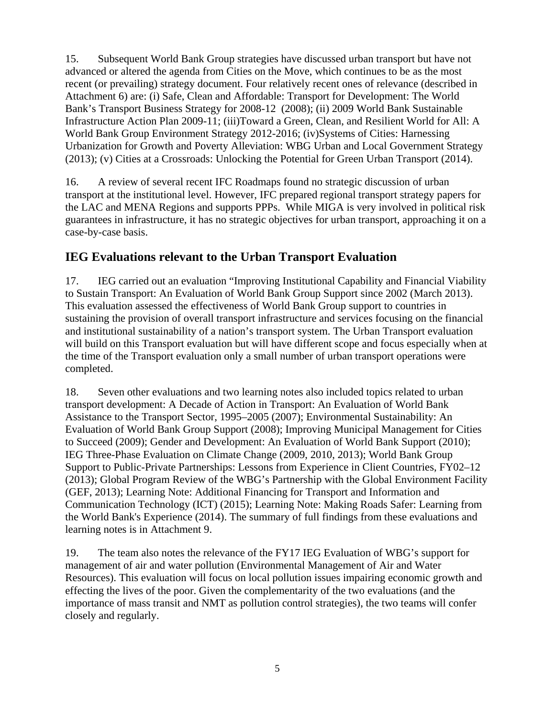15. Subsequent World Bank Group strategies have discussed urban transport but have not advanced or altered the agenda from Cities on the Move, which continues to be as the most recent (or prevailing) strategy document. Four relatively recent ones of relevance (described in Attachment 6) are: (i) Safe, Clean and Affordable: Transport for Development: The World Bank's Transport Business Strategy for 2008-12 (2008); (ii) 2009 World Bank Sustainable Infrastructure Action Plan 2009-11; (iii)Toward a Green, Clean, and Resilient World for All: A World Bank Group Environment Strategy 2012-2016; (iv)Systems of Cities: Harnessing Urbanization for Growth and Poverty Alleviation: WBG Urban and Local Government Strategy (2013); (v) Cities at a Crossroads: Unlocking the Potential for Green Urban Transport (2014).

16. A review of several recent IFC Roadmaps found no strategic discussion of urban transport at the institutional level. However, IFC prepared regional transport strategy papers for the LAC and MENA Regions and supports PPPs. While MIGA is very involved in political risk guarantees in infrastructure, it has no strategic objectives for urban transport, approaching it on a case-by-case basis.

## **IEG Evaluations relevant to the Urban Transport Evaluation**

17. IEG carried out an evaluation "Improving Institutional Capability and Financial Viability to Sustain Transport: An Evaluation of World Bank Group Support since 2002 (March 2013). This evaluation assessed the effectiveness of World Bank Group support to countries in sustaining the provision of overall transport infrastructure and services focusing on the financial and institutional sustainability of a nation's transport system. The Urban Transport evaluation will build on this Transport evaluation but will have different scope and focus especially when at the time of the Transport evaluation only a small number of urban transport operations were completed.

18. Seven other evaluations and two learning notes also included topics related to urban transport development: A Decade of Action in Transport: An Evaluation of World Bank Assistance to the Transport Sector, 1995–2005 (2007); Environmental Sustainability: An Evaluation of World Bank Group Support (2008); Improving Municipal Management for Cities to Succeed (2009); Gender and Development: An Evaluation of World Bank Support (2010); IEG Three-Phase Evaluation on Climate Change (2009, 2010, 2013); World Bank Group Support to Public-Private Partnerships: Lessons from Experience in Client Countries, FY02–12 (2013); Global Program Review of the WBG's Partnership with the Global Environment Facility (GEF, 2013); Learning Note: Additional Financing for Transport and Information and Communication Technology (ICT) (2015); Learning Note: Making Roads Safer: Learning from the World Bank's Experience (2014). The summary of full findings from these evaluations and learning notes is in Attachment 9.

19. The team also notes the relevance of the FY17 IEG Evaluation of WBG's support for management of air and water pollution (Environmental Management of Air and Water Resources). This evaluation will focus on local pollution issues impairing economic growth and effecting the lives of the poor. Given the complementarity of the two evaluations (and the importance of mass transit and NMT as pollution control strategies), the two teams will confer closely and regularly.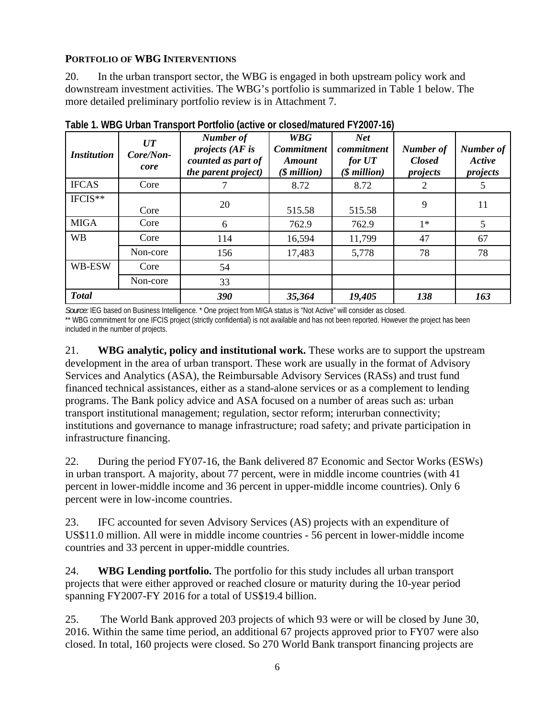### **PORTFOLIO OF WBG INTERVENTIONS**

20. In the urban transport sector, the WBG is engaged in both upstream policy work and downstream investment activities. The WBG's portfolio is summarized in Table 1 below. The more detailed preliminary portfolio review is in Attachment 7.

| <i>Institution</i> | UT<br>Core/Non-<br>core | Number of<br>projects $AF$ is<br>counted as part of<br>the parent project) | <b>WBG</b><br><b>Commitment</b><br><b>Amount</b><br>$$$ million) | <b>Net</b><br>commitment<br>for U T<br>$$$ million) | <b>Number</b> of<br><b>Closed</b><br>projects | Number of<br>Active<br>projects |
|--------------------|-------------------------|----------------------------------------------------------------------------|------------------------------------------------------------------|-----------------------------------------------------|-----------------------------------------------|---------------------------------|
| <b>IFCAS</b>       | Core                    |                                                                            | 8.72                                                             | 8.72                                                | 2                                             |                                 |
| IFCIS**            | Core                    | 20                                                                         | 515.58                                                           | 515.58                                              | 9                                             | 11                              |
| <b>MIGA</b>        | Core                    | 6                                                                          | 762.9                                                            | 762.9                                               | $1*$                                          | 5                               |
| <b>WB</b>          | Core                    | 114                                                                        | 16,594                                                           | 11,799                                              | 47                                            | 67                              |
|                    | Non-core                | 156                                                                        | 17,483                                                           | 5,778                                               | 78                                            | 78                              |
| WB-ESW             | Core                    | 54                                                                         |                                                                  |                                                     |                                               |                                 |
|                    | Non-core                | 33                                                                         |                                                                  |                                                     |                                               |                                 |
| <b>Total</b>       |                         | 390                                                                        | 35,364                                                           | 19,405                                              | 138                                           | 163                             |

**Table 1. WBG Urban Transport Portfolio (active or closed/matured FY2007-16)** 

*Source:* IEG based on Business Intelligence. \* One project from MIGA status is "Not Active" will consider as closed. \*\* WBG commitment for one IFCIS project (strictly confidential) is not available and has not been reported. However the project has been included in the number of projects.

21. **WBG analytic, policy and institutional work.** These works are to support the upstream development in the area of urban transport. These work are usually in the format of Advisory Services and Analytics (ASA), the Reimbursable Advisory Services (RASs) and trust fund financed technical assistances, either as a stand-alone services or as a complement to lending programs. The Bank policy advice and ASA focused on a number of areas such as: urban transport institutional management; regulation, sector reform; interurban connectivity; institutions and governance to manage infrastructure; road safety; and private participation in infrastructure financing.

22. During the period FY07-16, the Bank delivered 87 Economic and Sector Works (ESWs) in urban transport. A majority, about 77 percent, were in middle income countries (with 41 percent in lower-middle income and 36 percent in upper-middle income countries). Only 6 percent were in low-income countries.

23. IFC accounted for seven Advisory Services (AS) projects with an expenditure of US\$11.0 million. All were in middle income countries - 56 percent in lower-middle income countries and 33 percent in upper-middle countries.

24. **WBG Lending portfolio.** The portfolio for this study includes all urban transport projects that were either approved or reached closure or maturity during the 10-year period spanning FY2007-FY 2016 for a total of US\$19.4 billion.

25. The World Bank approved 203 projects of which 93 were or will be closed by June 30, 2016. Within the same time period, an additional 67 projects approved prior to FY07 were also closed. In total, 160 projects were closed. So 270 World Bank transport financing projects are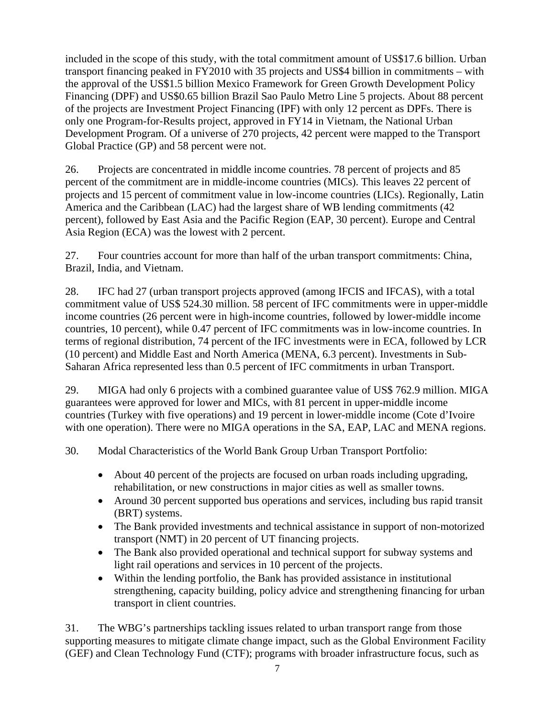included in the scope of this study, with the total commitment amount of US\$17.6 billion. Urban transport financing peaked in FY2010 with 35 projects and US\$4 billion in commitments – with the approval of the US\$1.5 billion Mexico Framework for Green Growth Development Policy Financing (DPF) and US\$0.65 billion Brazil Sao Paulo Metro Line 5 projects. About 88 percent of the projects are Investment Project Financing (IPF) with only 12 percent as DPFs. There is only one Program-for-Results project, approved in FY14 in Vietnam, the National Urban Development Program. Of a universe of 270 projects, 42 percent were mapped to the Transport Global Practice (GP) and 58 percent were not.

26. Projects are concentrated in middle income countries. 78 percent of projects and 85 percent of the commitment are in middle-income countries (MICs). This leaves 22 percent of projects and 15 percent of commitment value in low-income countries (LICs). Regionally, Latin America and the Caribbean (LAC) had the largest share of WB lending commitments (42 percent), followed by East Asia and the Pacific Region (EAP, 30 percent). Europe and Central Asia Region (ECA) was the lowest with 2 percent.

27. Four countries account for more than half of the urban transport commitments: China, Brazil, India, and Vietnam.

28. IFC had 27 (urban transport projects approved (among IFCIS and IFCAS), with a total commitment value of US\$ 524.30 million. 58 percent of IFC commitments were in upper-middle income countries (26 percent were in high-income countries, followed by lower-middle income countries, 10 percent), while 0.47 percent of IFC commitments was in low-income countries. In terms of regional distribution, 74 percent of the IFC investments were in ECA, followed by LCR (10 percent) and Middle East and North America (MENA, 6.3 percent). Investments in Sub-Saharan Africa represented less than 0.5 percent of IFC commitments in urban Transport.

29. MIGA had only 6 projects with a combined guarantee value of US\$ 762.9 million. MIGA guarantees were approved for lower and MICs, with 81 percent in upper-middle income countries (Turkey with five operations) and 19 percent in lower-middle income (Cote d'Ivoire with one operation). There were no MIGA operations in the SA, EAP, LAC and MENA regions.

30. Modal Characteristics of the World Bank Group Urban Transport Portfolio:

- About 40 percent of the projects are focused on urban roads including upgrading, rehabilitation, or new constructions in major cities as well as smaller towns.
- Around 30 percent supported bus operations and services, including bus rapid transit (BRT) systems.
- The Bank provided investments and technical assistance in support of non-motorized transport (NMT) in 20 percent of UT financing projects.
- The Bank also provided operational and technical support for subway systems and light rail operations and services in 10 percent of the projects.
- Within the lending portfolio, the Bank has provided assistance in institutional strengthening, capacity building, policy advice and strengthening financing for urban transport in client countries.

31. The WBG's partnerships tackling issues related to urban transport range from those supporting measures to mitigate climate change impact, such as the Global Environment Facility (GEF) and Clean Technology Fund (CTF); programs with broader infrastructure focus, such as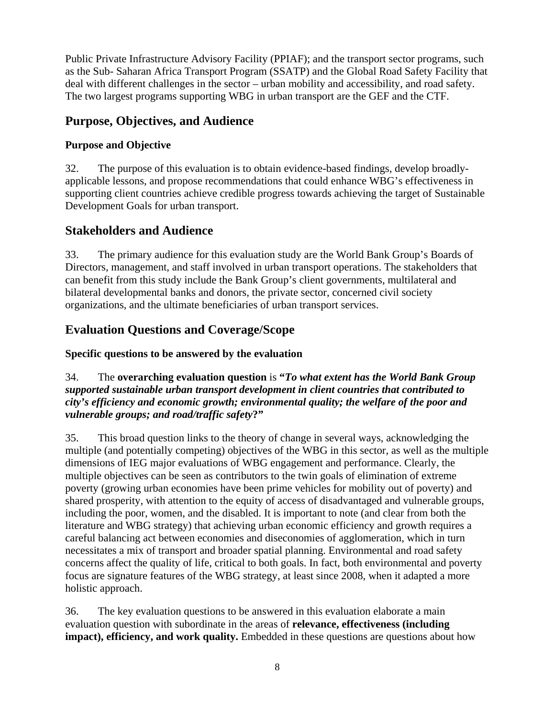Public Private Infrastructure Advisory Facility (PPIAF); and the transport sector programs, such as the Sub- Saharan Africa Transport Program (SSATP) and the Global Road Safety Facility that deal with different challenges in the sector – urban mobility and accessibility, and road safety. The two largest programs supporting WBG in urban transport are the GEF and the CTF.

# **Purpose, Objectives, and Audience**

## **Purpose and Objective**

32. The purpose of this evaluation is to obtain evidence-based findings, develop broadlyapplicable lessons, and propose recommendations that could enhance WBG's effectiveness in supporting client countries achieve credible progress towards achieving the target of Sustainable Development Goals for urban transport.

## **Stakeholders and Audience**

33. The primary audience for this evaluation study are the World Bank Group's Boards of Directors, management, and staff involved in urban transport operations. The stakeholders that can benefit from this study include the Bank Group's client governments, multilateral and bilateral developmental banks and donors, the private sector, concerned civil society organizations, and the ultimate beneficiaries of urban transport services.

# **Evaluation Questions and Coverage/Scope**

## **Specific questions to be answered by the evaluation**

### 34. The **overarching evaluation question** is **"***To what extent has the World Bank Group supported sustainable urban transport development in client countries that contributed to city's efficiency and economic growth; environmental quality; the welfare of the poor and vulnerable groups; and road/traffic safety***?"**

35. This broad question links to the theory of change in several ways, acknowledging the multiple (and potentially competing) objectives of the WBG in this sector, as well as the multiple dimensions of IEG major evaluations of WBG engagement and performance. Clearly, the multiple objectives can be seen as contributors to the twin goals of elimination of extreme poverty (growing urban economies have been prime vehicles for mobility out of poverty) and shared prosperity, with attention to the equity of access of disadvantaged and vulnerable groups, including the poor, women, and the disabled. It is important to note (and clear from both the literature and WBG strategy) that achieving urban economic efficiency and growth requires a careful balancing act between economies and diseconomies of agglomeration, which in turn necessitates a mix of transport and broader spatial planning. Environmental and road safety concerns affect the quality of life, critical to both goals. In fact, both environmental and poverty focus are signature features of the WBG strategy, at least since 2008, when it adapted a more holistic approach.

36. The key evaluation questions to be answered in this evaluation elaborate a main evaluation question with subordinate in the areas of **relevance, effectiveness (including impact), efficiency, and work quality.** Embedded in these questions are questions about how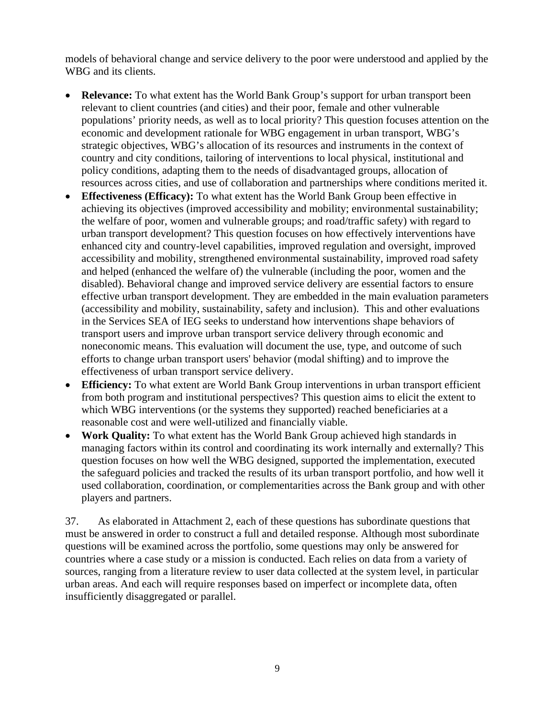models of behavioral change and service delivery to the poor were understood and applied by the WBG and its clients.

- **Relevance:** To what extent has the World Bank Group's support for urban transport been relevant to client countries (and cities) and their poor, female and other vulnerable populations' priority needs, as well as to local priority? This question focuses attention on the economic and development rationale for WBG engagement in urban transport, WBG's strategic objectives, WBG's allocation of its resources and instruments in the context of country and city conditions, tailoring of interventions to local physical, institutional and policy conditions, adapting them to the needs of disadvantaged groups, allocation of resources across cities, and use of collaboration and partnerships where conditions merited it.
- **Effectiveness (Efficacy):** To what extent has the World Bank Group been effective in achieving its objectives (improved accessibility and mobility; environmental sustainability; the welfare of poor, women and vulnerable groups; and road/traffic safety) with regard to urban transport development? This question focuses on how effectively interventions have enhanced city and country-level capabilities, improved regulation and oversight, improved accessibility and mobility, strengthened environmental sustainability, improved road safety and helped (enhanced the welfare of) the vulnerable (including the poor, women and the disabled). Behavioral change and improved service delivery are essential factors to ensure effective urban transport development. They are embedded in the main evaluation parameters (accessibility and mobility, sustainability, safety and inclusion). This and other evaluations in the Services SEA of IEG seeks to understand how interventions shape behaviors of transport users and improve urban transport service delivery through economic and noneconomic means. This evaluation will document the use, type, and outcome of such efforts to change urban transport users' behavior (modal shifting) and to improve the effectiveness of urban transport service delivery.
- **Efficiency:** To what extent are World Bank Group interventions in urban transport efficient from both program and institutional perspectives? This question aims to elicit the extent to which WBG interventions (or the systems they supported) reached beneficiaries at a reasonable cost and were well-utilized and financially viable.
- **Work Quality:** To what extent has the World Bank Group achieved high standards in managing factors within its control and coordinating its work internally and externally? This question focuses on how well the WBG designed, supported the implementation, executed the safeguard policies and tracked the results of its urban transport portfolio, and how well it used collaboration, coordination, or complementarities across the Bank group and with other players and partners.

37. As elaborated in Attachment 2, each of these questions has subordinate questions that must be answered in order to construct a full and detailed response. Although most subordinate questions will be examined across the portfolio, some questions may only be answered for countries where a case study or a mission is conducted. Each relies on data from a variety of sources, ranging from a literature review to user data collected at the system level, in particular urban areas. And each will require responses based on imperfect or incomplete data, often insufficiently disaggregated or parallel.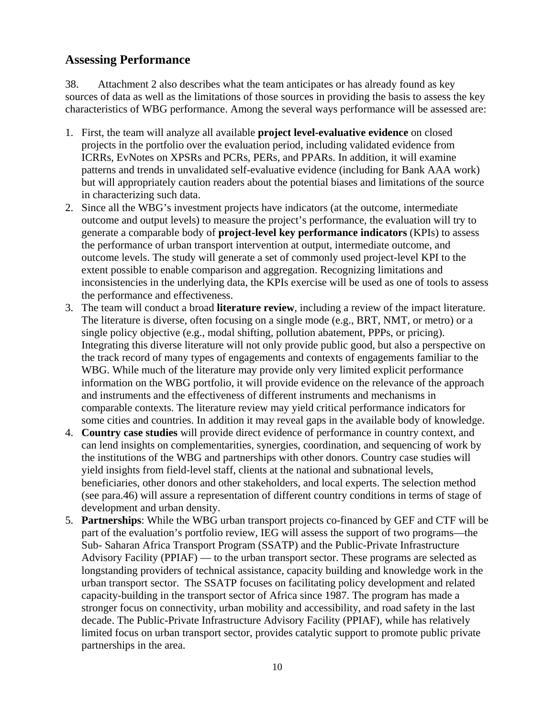## **Assessing Performance**

38. Attachment 2 also describes what the team anticipates or has already found as key sources of data as well as the limitations of those sources in providing the basis to assess the key characteristics of WBG performance. Among the several ways performance will be assessed are:

- 1. First, the team will analyze all available **project level-evaluative evidence** on closed projects in the portfolio over the evaluation period, including validated evidence from ICRRs, EvNotes on XPSRs and PCRs, PERs, and PPARs. In addition, it will examine patterns and trends in unvalidated self-evaluative evidence (including for Bank AAA work) but will appropriately caution readers about the potential biases and limitations of the source in characterizing such data.
- 2. Since all the WBG's investment projects have indicators (at the outcome, intermediate outcome and output levels) to measure the project's performance, the evaluation will try to generate a comparable body of **project-level key performance indicators** (KPIs) to assess the performance of urban transport intervention at output, intermediate outcome, and outcome levels. The study will generate a set of commonly used project-level KPI to the extent possible to enable comparison and aggregation. Recognizing limitations and inconsistencies in the underlying data, the KPIs exercise will be used as one of tools to assess the performance and effectiveness.
- 3. The team will conduct a broad **literature review**, including a review of the impact literature. The literature is diverse, often focusing on a single mode (e.g., BRT, NMT, or metro) or a single policy objective (e.g., modal shifting, pollution abatement, PPPs, or pricing). Integrating this diverse literature will not only provide public good, but also a perspective on the track record of many types of engagements and contexts of engagements familiar to the WBG. While much of the literature may provide only very limited explicit performance information on the WBG portfolio, it will provide evidence on the relevance of the approach and instruments and the effectiveness of different instruments and mechanisms in comparable contexts. The literature review may yield critical performance indicators for some cities and countries. In addition it may reveal gaps in the available body of knowledge.
- 4. **Country case studies** will provide direct evidence of performance in country context, and can lend insights on complementarities, synergies, coordination, and sequencing of work by the institutions of the WBG and partnerships with other donors. Country case studies will yield insights from field-level staff, clients at the national and subnational levels, beneficiaries, other donors and other stakeholders, and local experts. The selection method (see para.46) will assure a representation of different country conditions in terms of stage of development and urban density.
- 5. **Partnerships**: While the WBG urban transport projects co-financed by GEF and CTF will be part of the evaluation's portfolio review, IEG will assess the support of two programs—the Sub- Saharan Africa Transport Program (SSATP) and the Public-Private Infrastructure Advisory Facility (PPIAF) — to the urban transport sector. These programs are selected as longstanding providers of technical assistance, capacity building and knowledge work in the urban transport sector. The SSATP focuses on facilitating policy development and related capacity-building in the transport sector of Africa since 1987. The program has made a stronger focus on connectivity, urban mobility and accessibility, and road safety in the last decade. The Public-Private Infrastructure Advisory Facility (PPIAF), while has relatively limited focus on urban transport sector, provides catalytic support to promote public private partnerships in the area.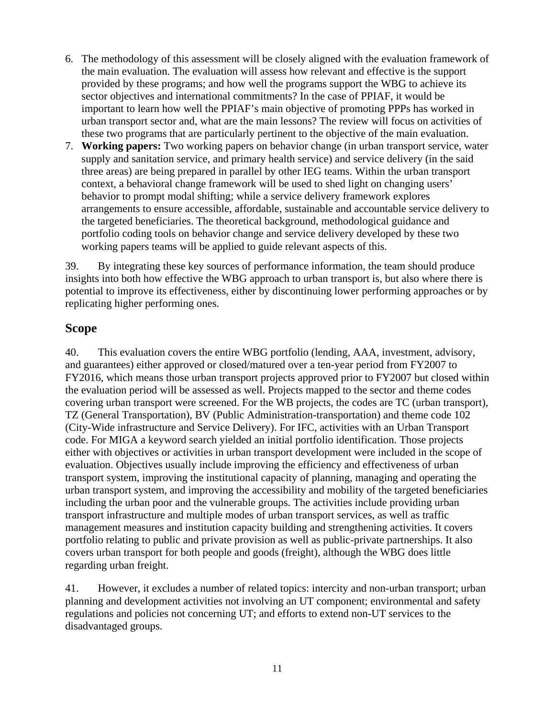- 6. The methodology of this assessment will be closely aligned with the evaluation framework of the main evaluation. The evaluation will assess how relevant and effective is the support provided by these programs; and how well the programs support the WBG to achieve its sector objectives and international commitments? In the case of PPIAF, it would be important to learn how well the PPIAF's main objective of promoting PPPs has worked in urban transport sector and, what are the main lessons? The review will focus on activities of these two programs that are particularly pertinent to the objective of the main evaluation.
- 7. **Working papers:** Two working papers on behavior change (in urban transport service, water supply and sanitation service, and primary health service) and service delivery (in the said three areas) are being prepared in parallel by other IEG teams. Within the urban transport context, a behavioral change framework will be used to shed light on changing users' behavior to prompt modal shifting; while a service delivery framework explores arrangements to ensure accessible, affordable, sustainable and accountable service delivery to the targeted beneficiaries. The theoretical background, methodological guidance and portfolio coding tools on behavior change and service delivery developed by these two working papers teams will be applied to guide relevant aspects of this.

39. By integrating these key sources of performance information, the team should produce insights into both how effective the WBG approach to urban transport is, but also where there is potential to improve its effectiveness, either by discontinuing lower performing approaches or by replicating higher performing ones.

## **Scope**

40. This evaluation covers the entire WBG portfolio (lending, AAA, investment, advisory, and guarantees) either approved or closed/matured over a ten-year period from FY2007 to FY2016, which means those urban transport projects approved prior to FY2007 but closed within the evaluation period will be assessed as well. Projects mapped to the sector and theme codes covering urban transport were screened. For the WB projects, the codes are TC (urban transport), TZ (General Transportation), BV (Public Administration-transportation) and theme code 102 (City-Wide infrastructure and Service Delivery). For IFC, activities with an Urban Transport code. For MIGA a keyword search yielded an initial portfolio identification. Those projects either with objectives or activities in urban transport development were included in the scope of evaluation. Objectives usually include improving the efficiency and effectiveness of urban transport system, improving the institutional capacity of planning, managing and operating the urban transport system, and improving the accessibility and mobility of the targeted beneficiaries including the urban poor and the vulnerable groups. The activities include providing urban transport infrastructure and multiple modes of urban transport services, as well as traffic management measures and institution capacity building and strengthening activities. It covers portfolio relating to public and private provision as well as public-private partnerships. It also covers urban transport for both people and goods (freight), although the WBG does little regarding urban freight.

41. However, it excludes a number of related topics: intercity and non-urban transport; urban planning and development activities not involving an UT component; environmental and safety regulations and policies not concerning UT; and efforts to extend non-UT services to the disadvantaged groups.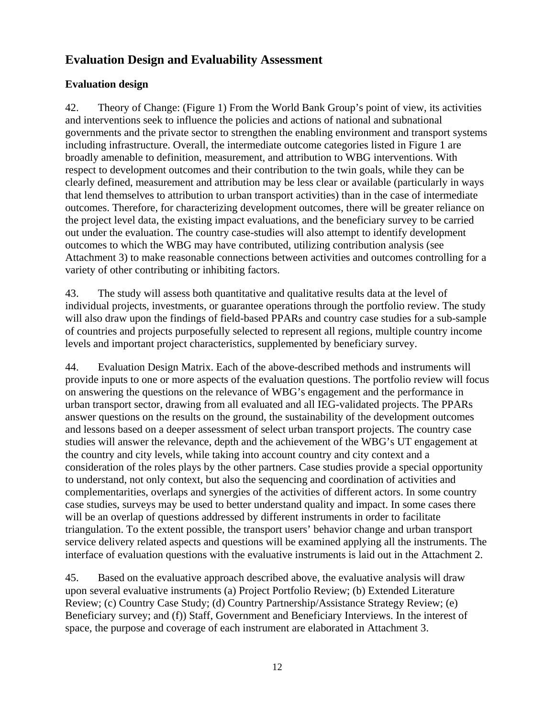# **Evaluation Design and Evaluability Assessment**

## **Evaluation design**

42. Theory of Change: (Figure 1) From the World Bank Group's point of view, its activities and interventions seek to influence the policies and actions of national and subnational governments and the private sector to strengthen the enabling environment and transport systems including infrastructure. Overall, the intermediate outcome categories listed in Figure 1 are broadly amenable to definition, measurement, and attribution to WBG interventions. With respect to development outcomes and their contribution to the twin goals, while they can be clearly defined, measurement and attribution may be less clear or available (particularly in ways that lend themselves to attribution to urban transport activities) than in the case of intermediate outcomes. Therefore, for characterizing development outcomes, there will be greater reliance on the project level data, the existing impact evaluations, and the beneficiary survey to be carried out under the evaluation. The country case-studies will also attempt to identify development outcomes to which the WBG may have contributed, utilizing contribution analysis (see Attachment 3) to make reasonable connections between activities and outcomes controlling for a variety of other contributing or inhibiting factors.

43. The study will assess both quantitative and qualitative results data at the level of individual projects, investments, or guarantee operations through the portfolio review. The study will also draw upon the findings of field-based PPARs and country case studies for a sub-sample of countries and projects purposefully selected to represent all regions, multiple country income levels and important project characteristics, supplemented by beneficiary survey.

44. Evaluation Design Matrix. Each of the above-described methods and instruments will provide inputs to one or more aspects of the evaluation questions. The portfolio review will focus on answering the questions on the relevance of WBG's engagement and the performance in urban transport sector, drawing from all evaluated and all IEG-validated projects. The PPARs answer questions on the results on the ground, the sustainability of the development outcomes and lessons based on a deeper assessment of select urban transport projects. The country case studies will answer the relevance, depth and the achievement of the WBG's UT engagement at the country and city levels, while taking into account country and city context and a consideration of the roles plays by the other partners. Case studies provide a special opportunity to understand, not only context, but also the sequencing and coordination of activities and complementarities, overlaps and synergies of the activities of different actors. In some country case studies, surveys may be used to better understand quality and impact. In some cases there will be an overlap of questions addressed by different instruments in order to facilitate triangulation. To the extent possible, the transport users' behavior change and urban transport service delivery related aspects and questions will be examined applying all the instruments. The interface of evaluation questions with the evaluative instruments is laid out in the Attachment 2.

45. Based on the evaluative approach described above, the evaluative analysis will draw upon several evaluative instruments (a) Project Portfolio Review; (b) Extended Literature Review; (c) Country Case Study; (d) Country Partnership/Assistance Strategy Review; (e) Beneficiary survey; and (f)) Staff, Government and Beneficiary Interviews. In the interest of space, the purpose and coverage of each instrument are elaborated in Attachment 3.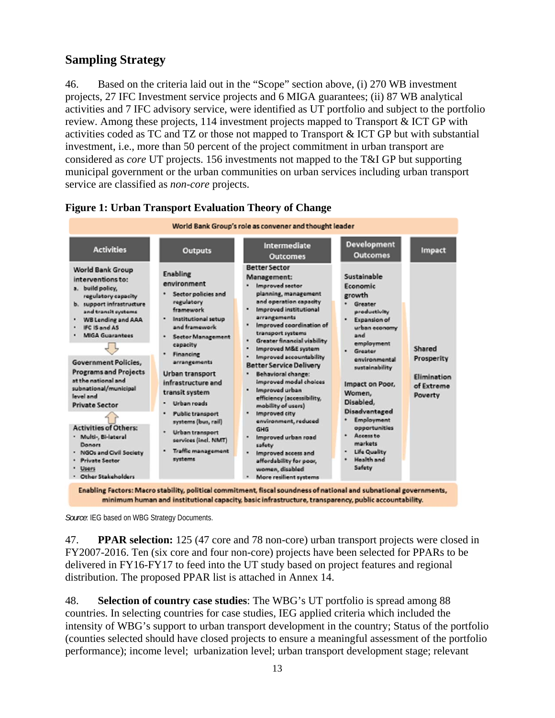# **Sampling Strategy**

46. Based on the criteria laid out in the "Scope" section above, (i) 270 WB investment projects, 27 IFC Investment service projects and 6 MIGA guarantees; (ii) 87 WB analytical activities and 7 IFC advisory service, were identified as UT portfolio and subject to the portfolio review. Among these projects, 114 investment projects mapped to Transport & ICT GP with activities coded as TC and TZ or those not mapped to Transport & ICT GP but with substantial investment, i.e., more than 50 percent of the project commitment in urban transport are considered as *core* UT projects. 156 investments not mapped to the T&I GP but supporting municipal government or the urban communities on urban services including urban transport service are classified as *non-core* projects.



### **Figure 1: Urban Transport Evaluation Theory of Change**

*Source*: IEG based on WBG Strategy Documents.

47. **PPAR selection:** 125 (47 core and 78 non-core) urban transport projects were closed in FY2007-2016. Ten (six core and four non-core) projects have been selected for PPARs to be delivered in FY16-FY17 to feed into the UT study based on project features and regional distribution. The proposed PPAR list is attached in Annex 14.

48. **Selection of country case studies**: The WBG's UT portfolio is spread among 88 countries. In selecting countries for case studies, IEG applied criteria which included the intensity of WBG's support to urban transport development in the country; Status of the portfolio (counties selected should have closed projects to ensure a meaningful assessment of the portfolio performance); income level; urbanization level; urban transport development stage; relevant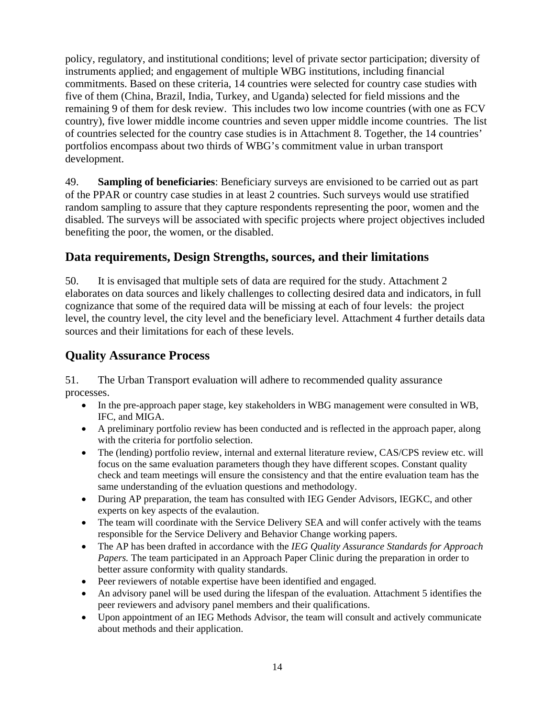policy, regulatory, and institutional conditions; level of private sector participation; diversity of instruments applied; and engagement of multiple WBG institutions, including financial commitments. Based on these criteria, 14 countries were selected for country case studies with five of them (China, Brazil, India, Turkey, and Uganda) selected for field missions and the remaining 9 of them for desk review. This includes two low income countries (with one as FCV country), five lower middle income countries and seven upper middle income countries. The list of countries selected for the country case studies is in Attachment 8. Together, the 14 countries' portfolios encompass about two thirds of WBG's commitment value in urban transport development.

49. **Sampling of beneficiaries**: Beneficiary surveys are envisioned to be carried out as part of the PPAR or country case studies in at least 2 countries. Such surveys would use stratified random sampling to assure that they capture respondents representing the poor, women and the disabled. The surveys will be associated with specific projects where project objectives included benefiting the poor, the women, or the disabled.

## **Data requirements, Design Strengths, sources, and their limitations**

50. It is envisaged that multiple sets of data are required for the study. Attachment 2 elaborates on data sources and likely challenges to collecting desired data and indicators, in full cognizance that some of the required data will be missing at each of four levels: the project level, the country level, the city level and the beneficiary level. Attachment 4 further details data sources and their limitations for each of these levels.

# **Quality Assurance Process**

51. The Urban Transport evaluation will adhere to recommended quality assurance processes.

- In the pre-approach paper stage, key stakeholders in WBG management were consulted in WB, IFC, and MIGA.
- A preliminary portfolio review has been conducted and is reflected in the approach paper, along with the criteria for portfolio selection.
- The (lending) portfolio review, internal and external literature review, CAS/CPS review etc. will focus on the same evaluation parameters though they have different scopes. Constant quality check and team meetings will ensure the consistency and that the entire evaluation team has the same understanding of the evluation questions and methodology.
- During AP preparation, the team has consulted with IEG Gender Advisors, IEGKC, and other experts on key aspects of the evalaution.
- The team will coordinate with the Service Delivery SEA and will confer actively with the teams responsible for the Service Delivery and Behavior Change working papers.
- The AP has been drafted in accordance with the *IEG Quality Assurance Standards for Approach Papers.* The team participated in an Approach Paper Clinic during the preparation in order to better assure conformity with quality standards.
- Peer reviewers of notable expertise have been identified and engaged.
- An advisory panel will be used during the lifespan of the evaluation. Attachment 5 identifies the peer reviewers and advisory panel members and their qualifications.
- Upon appointment of an IEG Methods Advisor, the team will consult and actively communicate about methods and their application.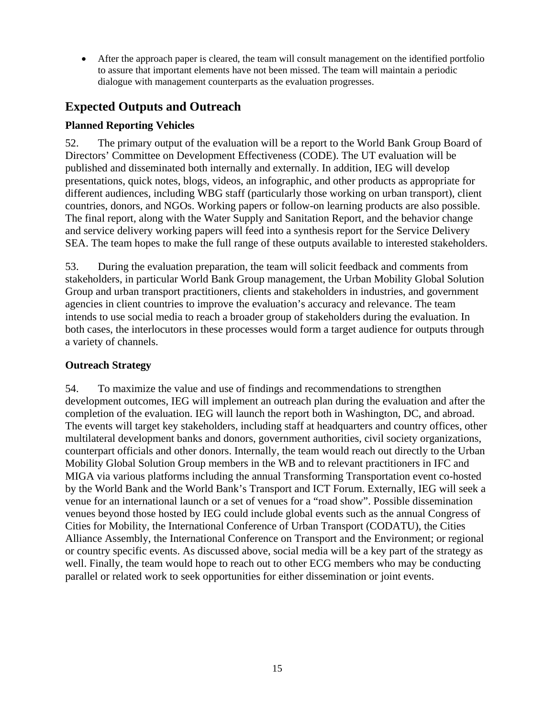After the approach paper is cleared, the team will consult management on the identified portfolio to assure that important elements have not been missed. The team will maintain a periodic dialogue with management counterparts as the evaluation progresses.

# **Expected Outputs and Outreach**

## **Planned Reporting Vehicles**

52. The primary output of the evaluation will be a report to the World Bank Group Board of Directors' Committee on Development Effectiveness (CODE). The UT evaluation will be published and disseminated both internally and externally. In addition, IEG will develop presentations, quick notes, blogs, videos, an infographic, and other products as appropriate for different audiences, including WBG staff (particularly those working on urban transport), client countries, donors, and NGOs. Working papers or follow-on learning products are also possible. The final report, along with the Water Supply and Sanitation Report, and the behavior change and service delivery working papers will feed into a synthesis report for the Service Delivery SEA. The team hopes to make the full range of these outputs available to interested stakeholders.

53. During the evaluation preparation, the team will solicit feedback and comments from stakeholders, in particular World Bank Group management, the Urban Mobility Global Solution Group and urban transport practitioners, clients and stakeholders in industries, and government agencies in client countries to improve the evaluation's accuracy and relevance. The team intends to use social media to reach a broader group of stakeholders during the evaluation. In both cases, the interlocutors in these processes would form a target audience for outputs through a variety of channels.

## **Outreach Strategy**

54. To maximize the value and use of findings and recommendations to strengthen development outcomes, IEG will implement an outreach plan during the evaluation and after the completion of the evaluation. IEG will launch the report both in Washington, DC, and abroad. The events will target key stakeholders, including staff at headquarters and country offices, other multilateral development banks and donors, government authorities, civil society organizations, counterpart officials and other donors. Internally, the team would reach out directly to the Urban Mobility Global Solution Group members in the WB and to relevant practitioners in IFC and MIGA via various platforms including the annual Transforming Transportation event co-hosted by the World Bank and the World Bank's Transport and ICT Forum. Externally, IEG will seek a venue for an international launch or a set of venues for a "road show". Possible dissemination venues beyond those hosted by IEG could include global events such as the annual Congress of Cities for Mobility, the International Conference of Urban Transport (CODATU), the Cities Alliance Assembly, the International Conference on Transport and the Environment; or regional or country specific events. As discussed above, social media will be a key part of the strategy as well. Finally, the team would hope to reach out to other ECG members who may be conducting parallel or related work to seek opportunities for either dissemination or joint events.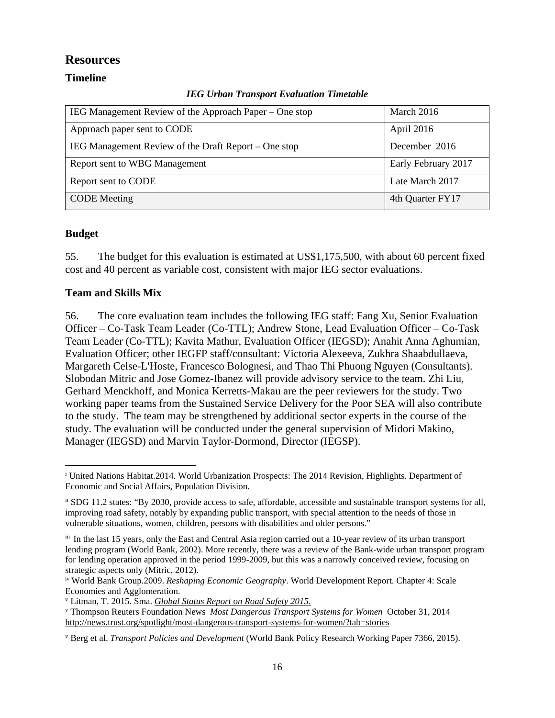## **Resources**

### **Timeline**

|  |  | <b>IEG Urban Transport Evaluation Timetable</b> |  |
|--|--|-------------------------------------------------|--|
|--|--|-------------------------------------------------|--|

| IEG Management Review of the Approach Paper – One stop | March 2016          |
|--------------------------------------------------------|---------------------|
| Approach paper sent to CODE                            | April 2016          |
| IEG Management Review of the Draft Report – One stop   | December 2016       |
| Report sent to WBG Management                          | Early February 2017 |
| Report sent to CODE                                    | Late March 2017     |
| <b>CODE</b> Meeting                                    | 4th Quarter FY17    |

### **Budget**

55. The budget for this evaluation is estimated at US\$1,175,500, with about 60 percent fixed cost and 40 percent as variable cost, consistent with major IEG sector evaluations.

### **Team and Skills Mix**

56. The core evaluation team includes the following IEG staff: Fang Xu, Senior Evaluation Officer – Co-Task Team Leader (Co-TTL); Andrew Stone, Lead Evaluation Officer – Co-Task Team Leader (Co-TTL); Kavita Mathur, Evaluation Officer (IEGSD); Anahit Anna Aghumian, Evaluation Officer; other IEGFP staff/consultant: Victoria Alexeeva, Zukhra Shaabdullaeva, Margareth Celse-L'Hoste, Francesco Bolognesi, and Thao Thi Phuong Nguyen (Consultants). Slobodan Mitric and Jose Gomez-Ibanez will provide advisory service to the team. Zhi Liu, Gerhard Menckhoff, and Monica Kerretts-Makau are the peer reviewers for the study. Two working paper teams from the Sustained Service Delivery for the Poor SEA will also contribute to the study. The team may be strengthened by additional sector experts in the course of the study. The evaluation will be conducted under the general supervision of Midori Makino, Manager (IEGSD) and Marvin Taylor-Dormond, Director (IEGSP).

<sup>&</sup>lt;sup>i</sup> United Nations Habitat.2014. World Urbanization Prospects: The 2014 Revision, Highlights. Department of Economic and Social Affairs, Population Division.  $\overline{a}$ 

ii SDG 11.2 states: "By 2030, provide access to safe, affordable, accessible and sustainable transport systems for all, improving road safety, notably by expanding public transport, with special attention to the needs of those in vulnerable situations, women, children, persons with disabilities and older persons."

iii In the last 15 years, only the East and Central Asia region carried out a 10-year review of its urban transport lending program (World Bank, 2002). More recently, there was a review of the Bank-wide urban transport program for lending operation approved in the period 1999-2009, but this was a narrowly conceived review, focusing on strategic aspects only (Mitric, 2012).

iv World Bank Group.2009. *Reshaping Economic Geography*. World Development Report. Chapter 4: Scale Economies and Agglomeration.

v Litman, T. 2015. Sma. *Global Status Report on Road Safety 2015.*<br>V Thompson Reuters Foundation News *Most Dangerous Transport* 

Thompson Reuters Foundation News *Most Dangerous Transport Systems for Women* October 31, 2014 http://news.trust.org/spotlight/most-dangerous-transport-systems-for-women/?tab=stories

v Berg et al. *Transport Policies and Development* (World Bank Policy Research Working Paper 7366, 2015).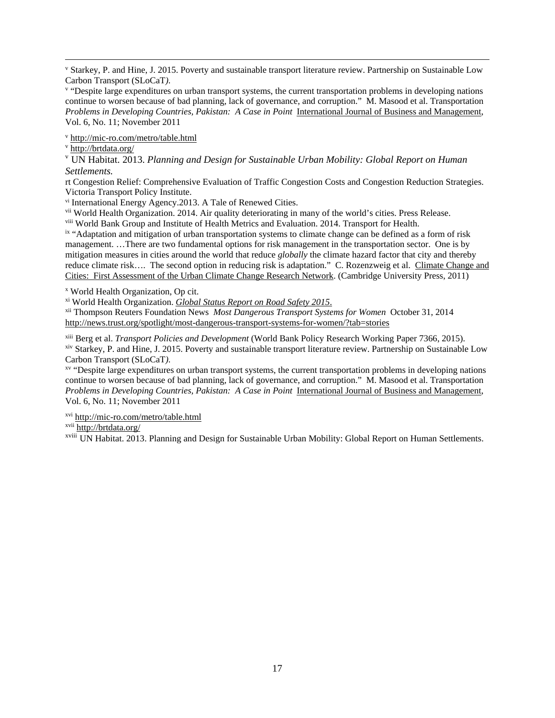l<br>v Starkey, P. and Hine, J. 2015. Poverty and sustainable transport literature review. Partnership on Sustainable Low Carbon Transport (SLoCaT).

<sup>v</sup> "Despite large expenditures on urban transport systems, the current transportation problems in developing nations continue to worsen because of bad planning, lack of governance, and corruption." M. Masood et al. Transportation *Problems in Developing Countries, Pakistan: A Case in Point* International Journal of Business and Management, Vol. 6, No. 11; November 2011

v http://mic-ro.com/metro/table.html

v http://brtdata.org/

<sup>v</sup> UN Habitat. 2013. *Planning and Design for Sustainable Urban Mobility: Global Report on Human Settlements.*

rt Congestion Relief: Comprehensive Evaluation of Traffic Congestion Costs and Congestion Reduction Strategies. Victoria Transport Policy Institute.

vi International Energy Agency.2013. A Tale of Renewed Cities.

vii World Health Organization. 2014. Air quality deteriorating in many of the world's cities. Press Release.

viii World Bank Group and Institute of Health Metrics and Evaluation. 2014. Transport for Health. ix "Adaptation and mitigation of urban transportation systems to climate change can be defined as a form of risk management. …There are two fundamental options for risk management in the transportation sector. One is by mitigation measures in cities around the world that reduce *globally* the climate hazard factor that city and thereby reduce climate risk.... The second option in reducing risk is adaptation." C. Rozenzweig et al. Climate Change and Cities: First Assessment of the Urban Climate Change Research Network. (Cambridge University Press, 2011)

x World Health Organization, Op cit.

xi World Health Organization. *Global Status Report on Road Safety 2015*. xii Thompson Reuters Foundation News *Most Dangerous Transport Systems for Women* October 31, 2014 http://news.trust.org/spotlight/most-dangerous-transport-systems-for-women/?tab=stories

xiii Berg et al. *Transport Policies and Development* (World Bank Policy Research Working Paper 7366, 2015).

xiv Starkey, P. and Hine, J. 2015. Poverty and sustainable transport literature review. Partnership on Sustainable Low Carbon Transport (SLoCaT).

<sup>xv</sup> "Despite large expenditures on urban transport systems, the current transportation problems in developing nations continue to worsen because of bad planning, lack of governance, and corruption." M. Masood et al. Transportation *Problems in Developing Countries, Pakistan: A Case in Point* International Journal of Business and Management, Vol. 6, No. 11; November 2011

xvi http://mic-ro.com/metro/table.html

xvii http://brtdata.org/

xviii UN Habitat. 2013. Planning and Design for Sustainable Urban Mobility: Global Report on Human Settlements.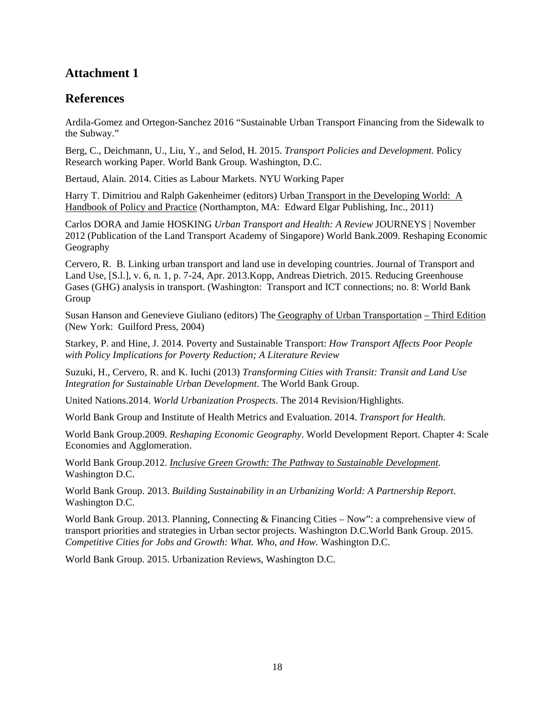# **Attachment 1**

## **References**

Ardila-Gomez and Ortegon-Sanchez 2016 "Sustainable Urban Transport Financing from the Sidewalk to the Subway."

Berg, C., Deichmann, U., Liu, Y., and Selod, H. 2015. *Transport Policies and Development.* Policy Research working Paper. World Bank Group. Washington, D.C.

Bertaud, Alain. 2014. Cities as Labour Markets. NYU Working Paper

Harry T. Dimitriou and Ralph Gakenheimer (editors) Urban Transport in the Developing World: A Handbook of Policy and Practice (Northampton, MA: Edward Elgar Publishing, Inc., 2011)

Carlos DORA and Jamie HOSKING *Urban Transport and Health: A Review* JOURNEYS | November 2012 (Publication of the Land Transport Academy of Singapore) World Bank.2009. Reshaping Economic Geography

Cervero, R. B. Linking urban transport and land use in developing countries. Journal of Transport and Land Use, [S.l.], v. 6, n. 1, p. 7-24, Apr. 2013.Kopp, Andreas Dietrich. 2015. Reducing Greenhouse Gases (GHG) analysis in transport. (Washington: Transport and ICT connections; no. 8: World Bank Group

Susan Hanson and Genevieve Giuliano (editors) The Geography of Urban Transportation – Third Edition (New York: Guilford Press, 2004)

Starkey, P. and Hine, J. 2014. Poverty and Sustainable Transport: *How Transport Affects Poor People with Policy Implications for Poverty Reduction; A Literature Review* 

Suzuki, H., Cervero, R. and K. Iuchi (2013) *Transforming Cities with Transit: Transit and Land Use Integration for Sustainable Urban Development*. The World Bank Group.

United Nations.2014. *World Urbanization Prospects*. The 2014 Revision/Highlights.

World Bank Group and Institute of Health Metrics and Evaluation. 2014. *Transport for Health*.

World Bank Group.2009. *Reshaping Economic Geography*. World Development Report. Chapter 4: Scale Economies and Agglomeration.

World Bank Group.2012. *Inclusive Green Growth: The Pathway to Sustainable Development.* Washington D.C.

World Bank Group. 2013. *Building Sustainability in an Urbanizing World: A Partnership Report*. Washington D.C.

World Bank Group. 2013. Planning, Connecting & Financing Cities – Now": a comprehensive view of transport priorities and strategies in Urban sector projects. Washington D.C.World Bank Group. 2015. *Competitive Cities for Jobs and Growth: What. Who, and How.* Washington D.C.

World Bank Group. 2015. Urbanization Reviews, Washington D.C.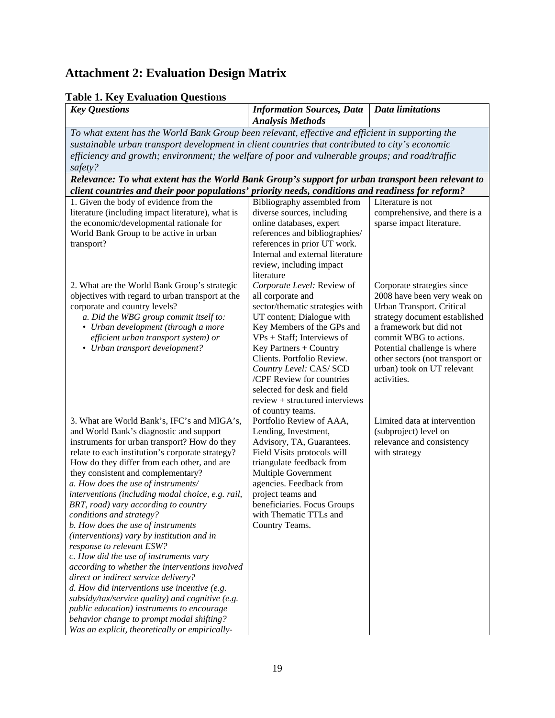# **Attachment 2: Evaluation Design Matrix**

# **Table 1. Key Evaluation Questions**

| raon n'iny Evanganon Questions<br><b>Key Questions</b>                                                                                                                                                                                                                                                                                                                                                                                                                                                                                                                                                                                                                                                                                                                                                                                                                                                                                                   | <b>Information Sources, Data</b><br><b>Analysis Methods</b>                                                                                                                                                                                                                                                                                                                          | <b>Data limitations</b>                                                                                                                                                                                                                                                                      |  |  |  |  |  |
|----------------------------------------------------------------------------------------------------------------------------------------------------------------------------------------------------------------------------------------------------------------------------------------------------------------------------------------------------------------------------------------------------------------------------------------------------------------------------------------------------------------------------------------------------------------------------------------------------------------------------------------------------------------------------------------------------------------------------------------------------------------------------------------------------------------------------------------------------------------------------------------------------------------------------------------------------------|--------------------------------------------------------------------------------------------------------------------------------------------------------------------------------------------------------------------------------------------------------------------------------------------------------------------------------------------------------------------------------------|----------------------------------------------------------------------------------------------------------------------------------------------------------------------------------------------------------------------------------------------------------------------------------------------|--|--|--|--|--|
| To what extent has the World Bank Group been relevant, effective and efficient in supporting the<br>sustainable urban transport development in client countries that contributed to city's economic<br>efficiency and growth; environment; the welfare of poor and vulnerable groups; and road/traffic<br>safety?<br>Relevance: To what extent has the World Bank Group's support for urban transport been relevant to                                                                                                                                                                                                                                                                                                                                                                                                                                                                                                                                   |                                                                                                                                                                                                                                                                                                                                                                                      |                                                                                                                                                                                                                                                                                              |  |  |  |  |  |
| client countries and their poor populations' priority needs, conditions and readiness for reform?                                                                                                                                                                                                                                                                                                                                                                                                                                                                                                                                                                                                                                                                                                                                                                                                                                                        |                                                                                                                                                                                                                                                                                                                                                                                      |                                                                                                                                                                                                                                                                                              |  |  |  |  |  |
| 1. Given the body of evidence from the<br>literature (including impact literature), what is<br>the economic/developmental rationale for<br>World Bank Group to be active in urban<br>transport?                                                                                                                                                                                                                                                                                                                                                                                                                                                                                                                                                                                                                                                                                                                                                          | Bibliography assembled from<br>diverse sources, including<br>online databases, expert<br>references and bibliographies/<br>references in prior UT work.<br>Internal and external literature<br>review, including impact<br>literature                                                                                                                                                | Literature is not<br>comprehensive, and there is a<br>sparse impact literature.                                                                                                                                                                                                              |  |  |  |  |  |
| 2. What are the World Bank Group's strategic<br>objectives with regard to urban transport at the<br>corporate and country levels?<br>a. Did the WBG group commit itself to:<br>• Urban development (through a more<br>efficient urban transport system) or<br>• Urban transport development?                                                                                                                                                                                                                                                                                                                                                                                                                                                                                                                                                                                                                                                             | Corporate Level: Review of<br>all corporate and<br>sector/thematic strategies with<br>UT content; Dialogue with<br>Key Members of the GPs and<br>$VPs + Staff$ ; Interviews of<br>Key Partners + Country<br>Clients. Portfolio Review.<br>Country Level: CAS/ SCD<br>/CPF Review for countries<br>selected for desk and field<br>review + structured interviews<br>of country teams. | Corporate strategies since<br>2008 have been very weak on<br>Urban Transport. Critical<br>strategy document established<br>a framework but did not<br>commit WBG to actions.<br>Potential challenge is where<br>other sectors (not transport or<br>urban) took on UT relevant<br>activities. |  |  |  |  |  |
| 3. What are World Bank's, IFC's and MIGA's,<br>and World Bank's diagnostic and support<br>instruments for urban transport? How do they<br>relate to each institution's corporate strategy?<br>How do they differ from each other, and are<br>they consistent and complementary?<br>a. How does the use of instruments/<br>interventions (including modal choice, e.g. rail,<br>BRT, road) vary according to country<br>conditions and strategy?<br>b. How does the use of instruments<br>(interventions) vary by institution and in<br>response to relevant ESW?<br>c. How did the use of instruments vary<br>according to whether the interventions involved<br>direct or indirect service delivery?<br>$d.$ How did interventions use incentive (e.g.<br>subsidy/tax/service quality) and cognitive (e.g.<br>public education) instruments to encourage<br>behavior change to prompt modal shifting?<br>Was an explicit, theoretically or empirically- | Portfolio Review of AAA,<br>Lending, Investment,<br>Advisory, TA, Guarantees.<br>Field Visits protocols will<br>triangulate feedback from<br>Multiple Government<br>agencies. Feedback from<br>project teams and<br>beneficiaries. Focus Groups<br>with Thematic TTLs and<br>Country Teams.                                                                                          | Limited data at intervention<br>(subproject) level on<br>relevance and consistency<br>with strategy                                                                                                                                                                                          |  |  |  |  |  |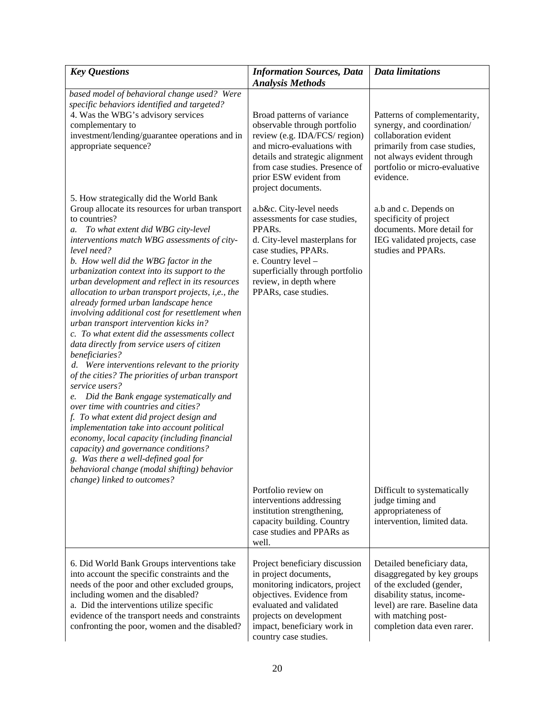| <b>Key Questions</b>                                                                                                                                                                                                                                                                                                                                                                                                                                                                                                                                                                                                                                                                                                                                                                                                                                                                                                                                                                                                                                                                                                                                                                                  | <b>Information Sources, Data</b><br><b>Analysis Methods</b>                                                                                                                                                                                    | <b>Data limitations</b>                                                                                                                                                                                     |
|-------------------------------------------------------------------------------------------------------------------------------------------------------------------------------------------------------------------------------------------------------------------------------------------------------------------------------------------------------------------------------------------------------------------------------------------------------------------------------------------------------------------------------------------------------------------------------------------------------------------------------------------------------------------------------------------------------------------------------------------------------------------------------------------------------------------------------------------------------------------------------------------------------------------------------------------------------------------------------------------------------------------------------------------------------------------------------------------------------------------------------------------------------------------------------------------------------|------------------------------------------------------------------------------------------------------------------------------------------------------------------------------------------------------------------------------------------------|-------------------------------------------------------------------------------------------------------------------------------------------------------------------------------------------------------------|
| based model of behavioral change used? Were<br>specific behaviors identified and targeted?<br>4. Was the WBG's advisory services<br>complementary to<br>investment/lending/guarantee operations and in<br>appropriate sequence?                                                                                                                                                                                                                                                                                                                                                                                                                                                                                                                                                                                                                                                                                                                                                                                                                                                                                                                                                                       | Broad patterns of variance<br>observable through portfolio<br>review (e.g. IDA/FCS/ region)<br>and micro-evaluations with<br>details and strategic alignment<br>from case studies. Presence of<br>prior ESW evident from<br>project documents. | Patterns of complementarity,<br>synergy, and coordination/<br>collaboration evident<br>primarily from case studies,<br>not always evident through<br>portfolio or micro-evaluative<br>evidence.             |
| 5. How strategically did the World Bank<br>Group allocate its resources for urban transport<br>to countries?<br>To what extent did WBG city-level<br>a.<br>interventions match WBG assessments of city-<br>level need?<br>b. How well did the WBG factor in the<br>urbanization context into its support to the<br>urban development and reflect in its resources<br>allocation to urban transport projects, i,e., the<br>already formed urban landscape hence<br>involving additional cost for resettlement when<br>urban transport intervention kicks in?<br>c. To what extent did the assessments collect<br>data directly from service users of citizen<br>beneficiaries?<br>d. Were interventions relevant to the priority<br>of the cities? The priorities of urban transport<br>service users?<br>Did the Bank engage systematically and<br>e.<br>over time with countries and cities?<br>f. To what extent did project design and<br>implementation take into account political<br>economy, local capacity (including financial<br>capacity) and governance conditions?<br>g. Was there a well-defined goal for<br>behavioral change (modal shifting) behavior<br>change) linked to outcomes? | a.b&c. City-level needs<br>assessments for case studies,<br>PPARs.<br>d. City-level masterplans for<br>case studies, PPARs.<br>e. Country level -<br>superficially through portfolio<br>review, in depth where<br>PPARs, case studies.         | a.b and c. Depends on<br>specificity of project<br>documents. More detail for<br>IEG validated projects, case<br>studies and PPARs.                                                                         |
|                                                                                                                                                                                                                                                                                                                                                                                                                                                                                                                                                                                                                                                                                                                                                                                                                                                                                                                                                                                                                                                                                                                                                                                                       | Portfolio review on<br>interventions addressing<br>institution strengthening,<br>capacity building. Country<br>case studies and PPARs as<br>well.                                                                                              | Difficult to systematically<br>judge timing and<br>appropriateness of<br>intervention, limited data.                                                                                                        |
| 6. Did World Bank Groups interventions take<br>into account the specific constraints and the<br>needs of the poor and other excluded groups,<br>including women and the disabled?<br>a. Did the interventions utilize specific<br>evidence of the transport needs and constraints<br>confronting the poor, women and the disabled?                                                                                                                                                                                                                                                                                                                                                                                                                                                                                                                                                                                                                                                                                                                                                                                                                                                                    | Project beneficiary discussion<br>in project documents,<br>monitoring indicators, project<br>objectives. Evidence from<br>evaluated and validated<br>projects on development<br>impact, beneficiary work in<br>country case studies.           | Detailed beneficiary data,<br>disaggregated by key groups<br>of the excluded (gender,<br>disability status, income-<br>level) are rare. Baseline data<br>with matching post-<br>completion data even rarer. |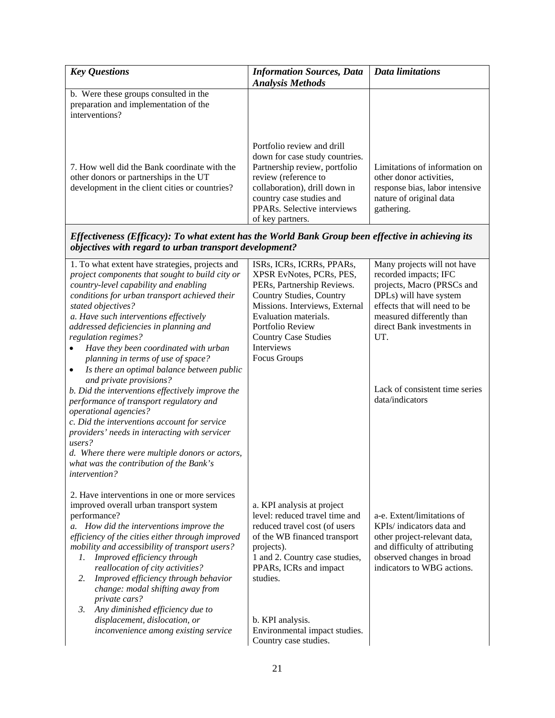| <b>Key Questions</b>                                                                                                                     | <b>Information Sources, Data</b><br><b>Analysis Methods</b>                                                                                                                                                                                        | <b>Data limitations</b>                                                                                                             |
|------------------------------------------------------------------------------------------------------------------------------------------|----------------------------------------------------------------------------------------------------------------------------------------------------------------------------------------------------------------------------------------------------|-------------------------------------------------------------------------------------------------------------------------------------|
| b. Were these groups consulted in the<br>preparation and implementation of the<br>interventions?                                         |                                                                                                                                                                                                                                                    |                                                                                                                                     |
| 7. How well did the Bank coordinate with the<br>other donors or partnerships in the UT<br>development in the client cities or countries? | Portfolio review and drill<br>down for case study countries.<br>Partnership review, portfolio<br>review (reference to<br>collaboration), drill down in<br>country case studies and<br>PPAR <sub>s</sub> . Selective interviews<br>of key partners. | Limitations of information on<br>other donor activities.<br>response bias, labor intensive<br>nature of original data<br>gathering. |

*Effectiveness (Efficacy): To what extent has the World Bank Group been effective in achieving its objectives with regard to urban transport development?* 

| 1. To what extent have strategies, projects and         | ISRs, ICRs, ICRRs, PPARs,       | Many projects will not have    |
|---------------------------------------------------------|---------------------------------|--------------------------------|
| project components that sought to build city or         | XPSR EvNotes, PCRs, PES,        | recorded impacts; IFC          |
| country-level capability and enabling                   | PERs, Partnership Reviews.      | projects, Macro (PRSCs and     |
| conditions for urban transport achieved their           | <b>Country Studies, Country</b> | DPLs) will have system         |
| stated objectives?                                      | Missions. Interviews, External  | effects that will need to be   |
| a. Have such interventions effectively                  | Evaluation materials.           | measured differently than      |
| addressed deficiencies in planning and                  | Portfolio Review                | direct Bank investments in     |
| regulation regimes?                                     | <b>Country Case Studies</b>     | UT.                            |
| Have they been coordinated with urban                   | Interviews                      |                                |
| planning in terms of use of space?                      | <b>Focus Groups</b>             |                                |
| Is there an optimal balance between public<br>$\bullet$ |                                 |                                |
| and private provisions?                                 |                                 |                                |
| b. Did the interventions effectively improve the        |                                 | Lack of consistent time series |
| performance of transport regulatory and                 |                                 | data/indicators                |
| operational agencies?                                   |                                 |                                |
| c. Did the interventions account for service            |                                 |                                |
| providers' needs in interacting with servicer           |                                 |                                |
| users?                                                  |                                 |                                |
| d. Where there were multiple donors or actors,          |                                 |                                |
| what was the contribution of the Bank's                 |                                 |                                |
| intervention?                                           |                                 |                                |
|                                                         |                                 |                                |
| 2. Have interventions in one or more services           |                                 |                                |
| improved overall urban transport system                 | a. KPI analysis at project      |                                |
| performance?                                            | level: reduced travel time and  | a-e. Extent/limitations of     |
| a. How did the interventions improve the                | reduced travel cost (of users   | KPIs/ indicators data and      |
| efficiency of the cities either through improved        | of the WB financed transport    | other project-relevant data,   |
| mobility and accessibility of transport users?          | projects).                      | and difficulty of attributing  |
| Improved efficiency through<br>1.                       | 1 and 2. Country case studies,  | observed changes in broad      |
| reallocation of city activities?                        | PPARs, ICRs and impact          | indicators to WBG actions.     |
| Improved efficiency through behavior<br>2.              | studies.                        |                                |
| change: modal shifting away from                        |                                 |                                |
| private cars?                                           |                                 |                                |
| Any diminished efficiency due to<br>3.                  |                                 |                                |
| displacement, dislocation, or                           | b. KPI analysis.                |                                |
| inconvenience among existing service                    | Environmental impact studies.   |                                |
|                                                         | Country case studies.           |                                |
|                                                         |                                 |                                |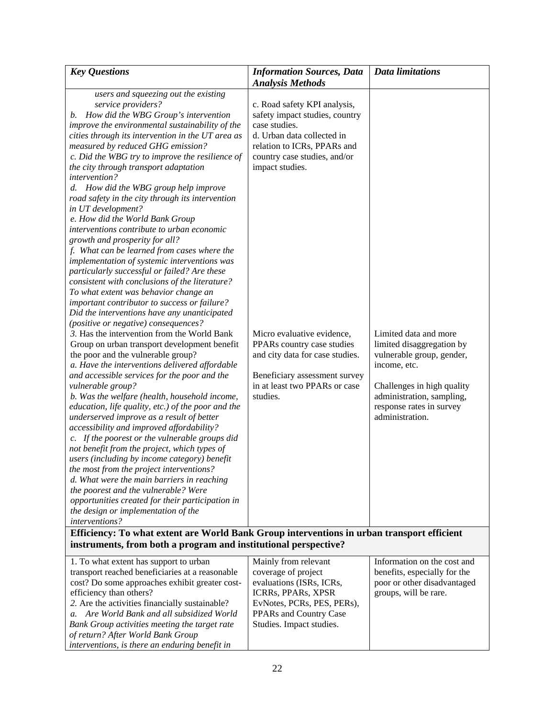| <b>Key Questions</b>                                                                                                                                                                                                                                                                                                                                                                                                                                                                                                                                                                                                                                                                                                                                                                                                                                                                                                                                                                                                                                                                                                                                                                                                                                                                                                                                                                                                                                                                                                                                                                                                                                                                                                                                                                                                                                                 | <b>Information Sources, Data</b>                                                                                                                                                                                                                                                                                                                                             | <b>Data limitations</b>                                                                                                                                                                                   |
|----------------------------------------------------------------------------------------------------------------------------------------------------------------------------------------------------------------------------------------------------------------------------------------------------------------------------------------------------------------------------------------------------------------------------------------------------------------------------------------------------------------------------------------------------------------------------------------------------------------------------------------------------------------------------------------------------------------------------------------------------------------------------------------------------------------------------------------------------------------------------------------------------------------------------------------------------------------------------------------------------------------------------------------------------------------------------------------------------------------------------------------------------------------------------------------------------------------------------------------------------------------------------------------------------------------------------------------------------------------------------------------------------------------------------------------------------------------------------------------------------------------------------------------------------------------------------------------------------------------------------------------------------------------------------------------------------------------------------------------------------------------------------------------------------------------------------------------------------------------------|------------------------------------------------------------------------------------------------------------------------------------------------------------------------------------------------------------------------------------------------------------------------------------------------------------------------------------------------------------------------------|-----------------------------------------------------------------------------------------------------------------------------------------------------------------------------------------------------------|
|                                                                                                                                                                                                                                                                                                                                                                                                                                                                                                                                                                                                                                                                                                                                                                                                                                                                                                                                                                                                                                                                                                                                                                                                                                                                                                                                                                                                                                                                                                                                                                                                                                                                                                                                                                                                                                                                      | <b>Analysis Methods</b>                                                                                                                                                                                                                                                                                                                                                      |                                                                                                                                                                                                           |
| users and squeezing out the existing<br>service providers?<br>How did the WBG Group's intervention<br>b.<br>improve the environmental sustainability of the<br>cities through its intervention in the UT area as<br>measured by reduced GHG emission?<br>c. Did the WBG try to improve the resilience of<br>the city through transport adaptation<br>intervention?<br>How did the WBG group help improve<br>$d_{\cdot}$<br>road safety in the city through its intervention<br>in UT development?<br>e. How did the World Bank Group<br>interventions contribute to urban economic<br>growth and prosperity for all?<br>f. What can be learned from cases where the<br>implementation of systemic interventions was<br>particularly successful or failed? Are these<br>consistent with conclusions of the literature?<br>To what extent was behavior change an<br>important contributor to success or failure?<br>Did the interventions have any unanticipated<br>(positive or negative) consequences?<br>3. Has the intervention from the World Bank<br>Group on urban transport development benefit<br>the poor and the vulnerable group?<br>a. Have the interventions delivered affordable<br>and accessible services for the poor and the<br>vulnerable group?<br>b. Was the welfare (health, household income,<br>education, life quality, etc.) of the poor and the<br>underserved improve as a result of better<br>accessibility and improved affordability?<br>c. If the poorest or the vulnerable groups did<br>not benefit from the project, which types of<br>users (including by income category) benefit<br>the most from the project interventions?<br>d. What were the main barriers in reaching<br>the poorest and the vulnerable? Were<br>opportunities created for their participation in<br>the design or implementation of the<br>interventions? | c. Road safety KPI analysis,<br>safety impact studies, country<br>case studies.<br>d. Urban data collected in<br>relation to ICRs, PPARs and<br>country case studies, and/or<br>impact studies.<br>Micro evaluative evidence,<br>PPARs country case studies<br>and city data for case studies.<br>Beneficiary assessment survey<br>in at least two PPARs or case<br>studies. | Limited data and more<br>limited disaggregation by<br>vulnerable group, gender,<br>income, etc.<br>Challenges in high quality<br>administration, sampling,<br>response rates in survey<br>administration. |
| Efficiency: To what extent are World Bank Group interventions in urban transport efficient                                                                                                                                                                                                                                                                                                                                                                                                                                                                                                                                                                                                                                                                                                                                                                                                                                                                                                                                                                                                                                                                                                                                                                                                                                                                                                                                                                                                                                                                                                                                                                                                                                                                                                                                                                           |                                                                                                                                                                                                                                                                                                                                                                              |                                                                                                                                                                                                           |
| instruments, from both a program and institutional perspective?                                                                                                                                                                                                                                                                                                                                                                                                                                                                                                                                                                                                                                                                                                                                                                                                                                                                                                                                                                                                                                                                                                                                                                                                                                                                                                                                                                                                                                                                                                                                                                                                                                                                                                                                                                                                      |                                                                                                                                                                                                                                                                                                                                                                              |                                                                                                                                                                                                           |
| 1. To what extent has support to urban<br>transport reached beneficiaries at a reasonable<br>cost? Do some approaches exhibit greater cost-<br>efficiency than others?<br>2. Are the activities financially sustainable?<br>Are World Bank and all subsidized World<br>$\mathfrak{a}.$<br>Bank Group activities meeting the target rate<br>of return? After World Bank Group<br>interventions, is there an enduring benefit in                                                                                                                                                                                                                                                                                                                                                                                                                                                                                                                                                                                                                                                                                                                                                                                                                                                                                                                                                                                                                                                                                                                                                                                                                                                                                                                                                                                                                                       | Mainly from relevant<br>coverage of project<br>evaluations (ISRs, ICRs,<br>ICRRs, PPARs, XPSR<br>EvNotes, PCRs, PES, PERs),<br>PPARs and Country Case<br>Studies. Impact studies.                                                                                                                                                                                            | Information on the cost and<br>benefits, especially for the<br>poor or other disadvantaged<br>groups, will be rare.                                                                                       |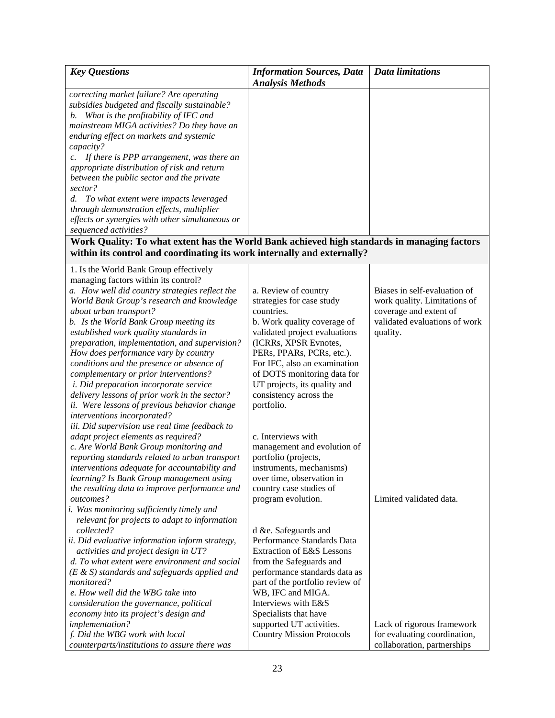| <b>Key Questions</b>                                                                        | <b>Information Sources, Data</b>                   | <b>Data limitations</b>                                 |
|---------------------------------------------------------------------------------------------|----------------------------------------------------|---------------------------------------------------------|
| correcting market failure? Are operating                                                    | <b>Analysis Methods</b>                            |                                                         |
| subsidies budgeted and fiscally sustainable?                                                |                                                    |                                                         |
| b. What is the profitability of IFC and                                                     |                                                    |                                                         |
| mainstream MIGA activities? Do they have an                                                 |                                                    |                                                         |
| enduring effect on markets and systemic                                                     |                                                    |                                                         |
| capacity?                                                                                   |                                                    |                                                         |
| If there is PPP arrangement, was there an<br>c.                                             |                                                    |                                                         |
| appropriate distribution of risk and return                                                 |                                                    |                                                         |
| between the public sector and the private<br>sector?                                        |                                                    |                                                         |
| To what extent were impacts leveraged<br>d.                                                 |                                                    |                                                         |
| through demonstration effects, multiplier                                                   |                                                    |                                                         |
| effects or synergies with other simultaneous or                                             |                                                    |                                                         |
| sequenced activities?                                                                       |                                                    |                                                         |
| Work Quality: To what extent has the World Bank achieved high standards in managing factors |                                                    |                                                         |
| within its control and coordinating its work internally and externally?                     |                                                    |                                                         |
|                                                                                             |                                                    |                                                         |
| 1. Is the World Bank Group effectively                                                      |                                                    |                                                         |
| managing factors within its control?                                                        |                                                    |                                                         |
| a. How well did country strategies reflect the                                              | a. Review of country                               | Biases in self-evaluation of                            |
| World Bank Group's research and knowledge                                                   | strategies for case study                          | work quality. Limitations of                            |
| about urban transport?                                                                      | countries.                                         | coverage and extent of<br>validated evaluations of work |
| b. Is the World Bank Group meeting its                                                      | b. Work quality coverage of                        |                                                         |
| established work quality standards in                                                       | validated project evaluations                      | quality.                                                |
| preparation, implementation, and supervision?<br>How does performance vary by country       | (ICRRs, XPSR Evnotes,<br>PERs, PPARs, PCRs, etc.). |                                                         |
| conditions and the presence or absence of                                                   | For IFC, also an examination                       |                                                         |
| complementary or prior interventions?                                                       | of DOTS monitoring data for                        |                                                         |
| <i>i. Did preparation incorporate service</i>                                               | UT projects, its quality and                       |                                                         |
| delivery lessons of prior work in the sector?                                               | consistency across the                             |                                                         |
| ii. Were lessons of previous behavior change                                                | portfolio.                                         |                                                         |
| interventions incorporated?                                                                 |                                                    |                                                         |
| iii. Did supervision use real time feedback to                                              |                                                    |                                                         |
| adapt project elements as required?                                                         | c. Interviews with                                 |                                                         |
| c. Are World Bank Group monitoring and                                                      | management and evolution of                        |                                                         |
| reporting standards related to urban transport                                              | portfolio (projects,                               |                                                         |
| interventions adequate for accountability and                                               | instruments, mechanisms)                           |                                                         |
| learning? Is Bank Group management using                                                    | over time, observation in                          |                                                         |
| the resulting data to improve performance and                                               | country case studies of                            |                                                         |
| outcomes?                                                                                   | program evolution.                                 | Limited validated data.                                 |
| i. Was monitoring sufficiently timely and                                                   |                                                    |                                                         |
| relevant for projects to adapt to information                                               |                                                    |                                                         |
| collected?                                                                                  | d &e. Safeguards and                               |                                                         |
| ii. Did evaluative information inform strategy,                                             | Performance Standards Data                         |                                                         |
| activities and project design in UT?                                                        | Extraction of E&S Lessons                          |                                                         |
| d. To what extent were environment and social                                               | from the Safeguards and                            |                                                         |
| $(E & S)$ standards and safeguards applied and                                              | performance standards data as                      |                                                         |
| monitored?                                                                                  | part of the portfolio review of                    |                                                         |
| e. How well did the WBG take into                                                           | WB, IFC and MIGA.<br>Interviews with E&S           |                                                         |
| consideration the governance, political<br>economy into its project's design and            | Specialists that have                              |                                                         |
| implementation?                                                                             | supported UT activities.                           | Lack of rigorous framework                              |
| f. Did the WBG work with local                                                              | <b>Country Mission Protocols</b>                   | for evaluating coordination,                            |
| counterparts/institutions to assure there was                                               |                                                    | collaboration, partnerships                             |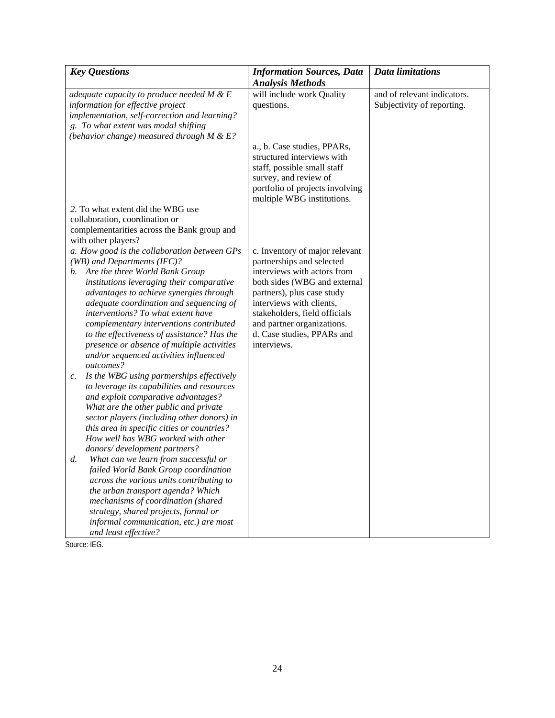| <b>Key Questions</b>                                                                                                                                                                                                                                                                                                                                                                                      | <b>Information Sources, Data</b>                                                                                                                                                                                                  | <b>Data limitations</b>                                   |
|-----------------------------------------------------------------------------------------------------------------------------------------------------------------------------------------------------------------------------------------------------------------------------------------------------------------------------------------------------------------------------------------------------------|-----------------------------------------------------------------------------------------------------------------------------------------------------------------------------------------------------------------------------------|-----------------------------------------------------------|
|                                                                                                                                                                                                                                                                                                                                                                                                           | <b>Analysis Methods</b>                                                                                                                                                                                                           |                                                           |
| adequate capacity to produce needed $M \& E$<br>information for effective project<br>implementation, self-correction and learning?<br>g. To what extent was modal shifting<br>(behavior change) measured through $M \& E$ ?                                                                                                                                                                               | will include work Quality<br>questions.                                                                                                                                                                                           | and of relevant indicators.<br>Subjectivity of reporting. |
|                                                                                                                                                                                                                                                                                                                                                                                                           | a., b. Case studies, PPARs,<br>structured interviews with<br>staff, possible small staff<br>survey, and review of<br>portfolio of projects involving<br>multiple WBG institutions.                                                |                                                           |
| 2. To what extent did the WBG use<br>collaboration, coordination or<br>complementarities across the Bank group and<br>with other players?                                                                                                                                                                                                                                                                 |                                                                                                                                                                                                                                   |                                                           |
| a. How good is the collaboration between GPs<br>(WB) and Departments (IFC)?                                                                                                                                                                                                                                                                                                                               | c. Inventory of major relevant<br>partnerships and selected                                                                                                                                                                       |                                                           |
| b. Are the three World Bank Group<br>institutions leveraging their comparative<br>advantages to achieve synergies through<br>adequate coordination and sequencing of<br>interventions? To what extent have<br>complementary interventions contributed<br>to the effectiveness of assistance? Has the<br>presence or absence of multiple activities<br>and/or sequenced activities influenced<br>outcomes? | interviews with actors from<br>both sides (WBG and external<br>partners), plus case study<br>interviews with clients,<br>stakeholders, field officials<br>and partner organizations.<br>d. Case studies, PPARs and<br>interviews. |                                                           |
| Is the WBG using partnerships effectively<br>c.<br>to leverage its capabilities and resources<br>and exploit comparative advantages?<br>What are the other public and private<br>sector players (including other donors) in<br>this area in specific cities or countries?<br>How well has WBG worked with other<br>donors/development partners?                                                           |                                                                                                                                                                                                                                   |                                                           |
| What can we learn from successful or<br>$d_{\cdot}$<br>failed World Bank Group coordination<br>across the various units contributing to<br>the urban transport agenda? Which<br>mechanisms of coordination (shared<br>strategy, shared projects, formal or<br>informal communication, etc.) are most<br>and least effective?                                                                              |                                                                                                                                                                                                                                   |                                                           |

Source: IEG.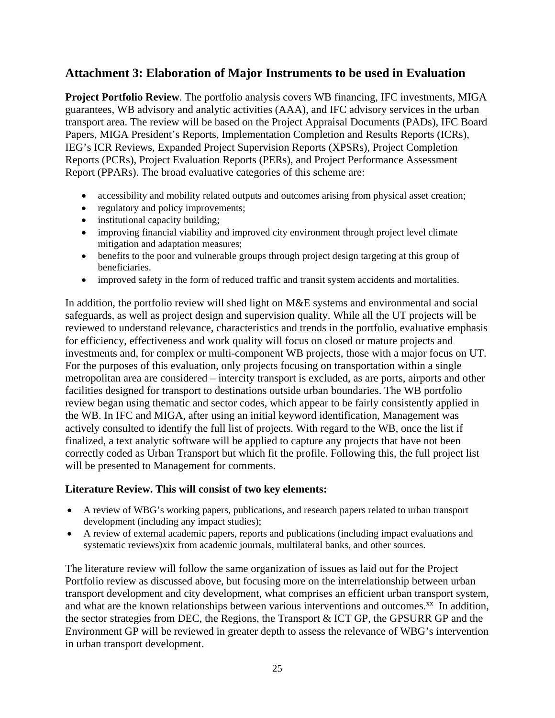## **Attachment 3: Elaboration of Major Instruments to be used in Evaluation**

**Project Portfolio Review**. The portfolio analysis covers WB financing, IFC investments, MIGA guarantees, WB advisory and analytic activities (AAA), and IFC advisory services in the urban transport area. The review will be based on the Project Appraisal Documents (PADs), IFC Board Papers, MIGA President's Reports, Implementation Completion and Results Reports (ICRs), IEG's ICR Reviews, Expanded Project Supervision Reports (XPSRs), Project Completion Reports (PCRs), Project Evaluation Reports (PERs), and Project Performance Assessment Report (PPARs). The broad evaluative categories of this scheme are:

- accessibility and mobility related outputs and outcomes arising from physical asset creation;
- regulatory and policy improvements;
- institutional capacity building;
- improving financial viability and improved city environment through project level climate mitigation and adaptation measures;
- benefits to the poor and vulnerable groups through project design targeting at this group of beneficiaries.
- improved safety in the form of reduced traffic and transit system accidents and mortalities.

In addition, the portfolio review will shed light on M&E systems and environmental and social safeguards, as well as project design and supervision quality. While all the UT projects will be reviewed to understand relevance, characteristics and trends in the portfolio, evaluative emphasis for efficiency, effectiveness and work quality will focus on closed or mature projects and investments and, for complex or multi-component WB projects, those with a major focus on UT. For the purposes of this evaluation, only projects focusing on transportation within a single metropolitan area are considered – intercity transport is excluded, as are ports, airports and other facilities designed for transport to destinations outside urban boundaries. The WB portfolio review began using thematic and sector codes, which appear to be fairly consistently applied in the WB. In IFC and MIGA, after using an initial keyword identification, Management was actively consulted to identify the full list of projects. With regard to the WB, once the list if finalized, a text analytic software will be applied to capture any projects that have not been correctly coded as Urban Transport but which fit the profile. Following this, the full project list will be presented to Management for comments.

### **Literature Review. This will consist of two key elements:**

- A review of WBG's working papers, publications, and research papers related to urban transport development (including any impact studies);
- A review of external academic papers, reports and publications (including impact evaluations and systematic reviews)xix from academic journals, multilateral banks, and other sources.

The literature review will follow the same organization of issues as laid out for the Project Portfolio review as discussed above, but focusing more on the interrelationship between urban transport development and city development, what comprises an efficient urban transport system, and what are the known relationships between various interventions and outcomes. $^{xx}$  In addition, the sector strategies from DEC, the Regions, the Transport & ICT GP, the GPSURR GP and the Environment GP will be reviewed in greater depth to assess the relevance of WBG's intervention in urban transport development.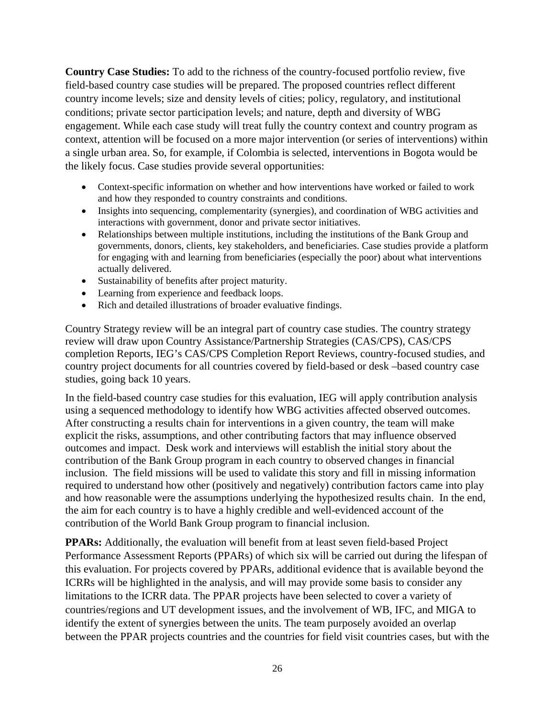**Country Case Studies:** To add to the richness of the country-focused portfolio review, five field-based country case studies will be prepared. The proposed countries reflect different country income levels; size and density levels of cities; policy, regulatory, and institutional conditions; private sector participation levels; and nature, depth and diversity of WBG engagement. While each case study will treat fully the country context and country program as context, attention will be focused on a more major intervention (or series of interventions) within a single urban area. So, for example, if Colombia is selected, interventions in Bogota would be the likely focus. Case studies provide several opportunities:

- Context-specific information on whether and how interventions have worked or failed to work and how they responded to country constraints and conditions.
- Insights into sequencing, complementarity (synergies), and coordination of WBG activities and interactions with government, donor and private sector initiatives.
- Relationships between multiple institutions, including the institutions of the Bank Group and governments, donors, clients, key stakeholders, and beneficiaries. Case studies provide a platform for engaging with and learning from beneficiaries (especially the poor) about what interventions actually delivered.
- Sustainability of benefits after project maturity.
- Learning from experience and feedback loops.
- Rich and detailed illustrations of broader evaluative findings.

Country Strategy review will be an integral part of country case studies. The country strategy review will draw upon Country Assistance/Partnership Strategies (CAS/CPS), CAS/CPS completion Reports, IEG's CAS/CPS Completion Report Reviews, country-focused studies, and country project documents for all countries covered by field-based or desk –based country case studies, going back 10 years.

In the field-based country case studies for this evaluation, IEG will apply contribution analysis using a sequenced methodology to identify how WBG activities affected observed outcomes. After constructing a results chain for interventions in a given country, the team will make explicit the risks, assumptions, and other contributing factors that may influence observed outcomes and impact. Desk work and interviews will establish the initial story about the contribution of the Bank Group program in each country to observed changes in financial inclusion. The field missions will be used to validate this story and fill in missing information required to understand how other (positively and negatively) contribution factors came into play and how reasonable were the assumptions underlying the hypothesized results chain. In the end, the aim for each country is to have a highly credible and well-evidenced account of the contribution of the World Bank Group program to financial inclusion.

**PPARs:** Additionally, the evaluation will benefit from at least seven field-based Project Performance Assessment Reports (PPARs) of which six will be carried out during the lifespan of this evaluation. For projects covered by PPARs, additional evidence that is available beyond the ICRRs will be highlighted in the analysis, and will may provide some basis to consider any limitations to the ICRR data. The PPAR projects have been selected to cover a variety of countries/regions and UT development issues, and the involvement of WB, IFC, and MIGA to identify the extent of synergies between the units. The team purposely avoided an overlap between the PPAR projects countries and the countries for field visit countries cases, but with the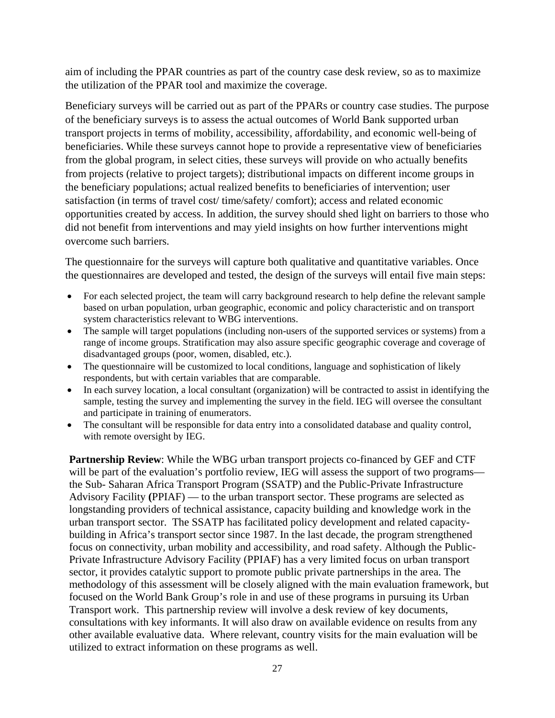aim of including the PPAR countries as part of the country case desk review, so as to maximize the utilization of the PPAR tool and maximize the coverage.

Beneficiary surveys will be carried out as part of the PPARs or country case studies. The purpose of the beneficiary surveys is to assess the actual outcomes of World Bank supported urban transport projects in terms of mobility, accessibility, affordability, and economic well-being of beneficiaries. While these surveys cannot hope to provide a representative view of beneficiaries from the global program, in select cities, these surveys will provide on who actually benefits from projects (relative to project targets); distributional impacts on different income groups in the beneficiary populations; actual realized benefits to beneficiaries of intervention; user satisfaction (in terms of travel cost/ time/safety/ comfort); access and related economic opportunities created by access. In addition, the survey should shed light on barriers to those who did not benefit from interventions and may yield insights on how further interventions might overcome such barriers.

The questionnaire for the surveys will capture both qualitative and quantitative variables. Once the questionnaires are developed and tested, the design of the surveys will entail five main steps:

- For each selected project, the team will carry background research to help define the relevant sample based on urban population, urban geographic, economic and policy characteristic and on transport system characteristics relevant to WBG interventions.
- The sample will target populations (including non-users of the supported services or systems) from a range of income groups. Stratification may also assure specific geographic coverage and coverage of disadvantaged groups (poor, women, disabled, etc.).
- The questionnaire will be customized to local conditions, language and sophistication of likely respondents, but with certain variables that are comparable.
- In each survey location, a local consultant (organization) will be contracted to assist in identifying the sample, testing the survey and implementing the survey in the field. IEG will oversee the consultant and participate in training of enumerators.
- The consultant will be responsible for data entry into a consolidated database and quality control, with remote oversight by IEG.

**Partnership Review**: While the WBG urban transport projects co-financed by GEF and CTF will be part of the evaluation's portfolio review, IEG will assess the support of two programs the Sub- Saharan Africa Transport Program (SSATP) and the Public-Private Infrastructure Advisory Facility **(**PPIAF) — to the urban transport sector. These programs are selected as longstanding providers of technical assistance, capacity building and knowledge work in the urban transport sector. The SSATP has facilitated policy development and related capacitybuilding in Africa's transport sector since 1987. In the last decade, the program strengthened focus on connectivity, urban mobility and accessibility, and road safety. Although the Public-Private Infrastructure Advisory Facility (PPIAF) has a very limited focus on urban transport sector, it provides catalytic support to promote public private partnerships in the area. The methodology of this assessment will be closely aligned with the main evaluation framework, but focused on the World Bank Group's role in and use of these programs in pursuing its Urban Transport work. This partnership review will involve a desk review of key documents, consultations with key informants. It will also draw on available evidence on results from any other available evaluative data. Where relevant, country visits for the main evaluation will be utilized to extract information on these programs as well.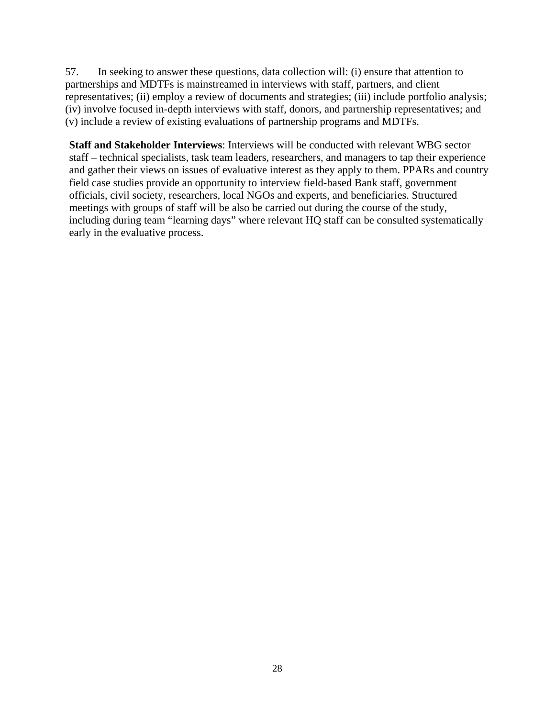57. In seeking to answer these questions, data collection will: (i) ensure that attention to partnerships and MDTFs is mainstreamed in interviews with staff, partners, and client representatives; (ii) employ a review of documents and strategies; (iii) include portfolio analysis; (iv) involve focused in-depth interviews with staff, donors, and partnership representatives; and (v) include a review of existing evaluations of partnership programs and MDTFs.

**Staff and Stakeholder Interviews**: Interviews will be conducted with relevant WBG sector staff – technical specialists, task team leaders, researchers, and managers to tap their experience and gather their views on issues of evaluative interest as they apply to them. PPARs and country field case studies provide an opportunity to interview field-based Bank staff, government officials, civil society, researchers, local NGOs and experts, and beneficiaries. Structured meetings with groups of staff will be also be carried out during the course of the study, including during team "learning days" where relevant HQ staff can be consulted systematically early in the evaluative process.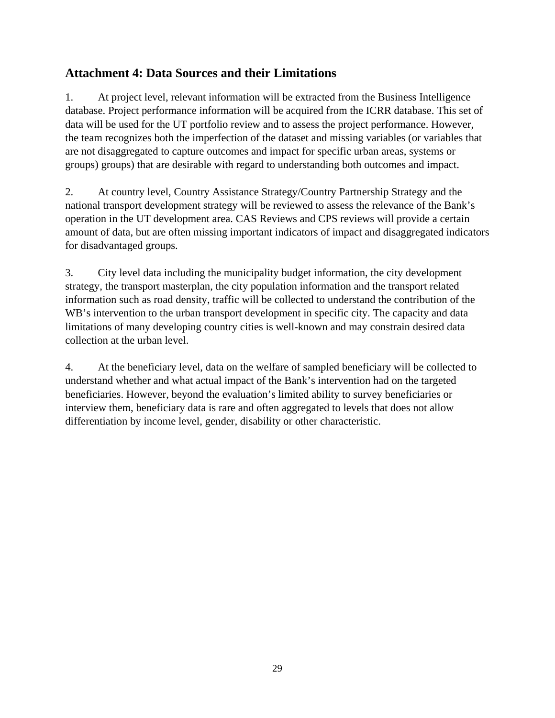# **Attachment 4: Data Sources and their Limitations**

1. At project level, relevant information will be extracted from the Business Intelligence database. Project performance information will be acquired from the ICRR database. This set of data will be used for the UT portfolio review and to assess the project performance. However, the team recognizes both the imperfection of the dataset and missing variables (or variables that are not disaggregated to capture outcomes and impact for specific urban areas, systems or groups) groups) that are desirable with regard to understanding both outcomes and impact.

2. At country level, Country Assistance Strategy/Country Partnership Strategy and the national transport development strategy will be reviewed to assess the relevance of the Bank's operation in the UT development area. CAS Reviews and CPS reviews will provide a certain amount of data, but are often missing important indicators of impact and disaggregated indicators for disadvantaged groups.

3. City level data including the municipality budget information, the city development strategy, the transport masterplan, the city population information and the transport related information such as road density, traffic will be collected to understand the contribution of the WB's intervention to the urban transport development in specific city. The capacity and data limitations of many developing country cities is well-known and may constrain desired data collection at the urban level.

4. At the beneficiary level, data on the welfare of sampled beneficiary will be collected to understand whether and what actual impact of the Bank's intervention had on the targeted beneficiaries. However, beyond the evaluation's limited ability to survey beneficiaries or interview them, beneficiary data is rare and often aggregated to levels that does not allow differentiation by income level, gender, disability or other characteristic.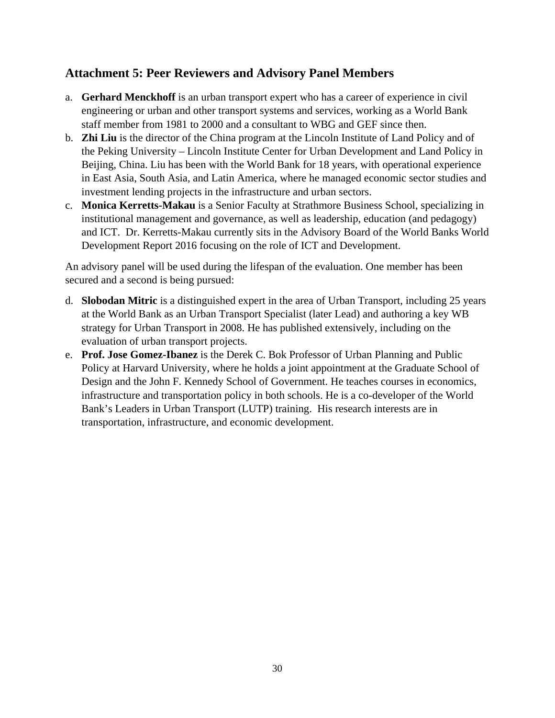## **Attachment 5: Peer Reviewers and Advisory Panel Members**

- a. **Gerhard Menckhoff** is an urban transport expert who has a career of experience in civil engineering or urban and other transport systems and services, working as a World Bank staff member from 1981 to 2000 and a consultant to WBG and GEF since then.
- b. **Zhi Liu** is the director of the China program at the Lincoln Institute of Land Policy and of the Peking University – Lincoln Institute Center for Urban Development and Land Policy in Beijing, China. Liu has been with the World Bank for 18 years, with operational experience in East Asia, South Asia, and Latin America, where he managed economic sector studies and investment lending projects in the infrastructure and urban sectors.
- c. **Monica Kerretts-Makau** is a Senior Faculty at Strathmore Business School, specializing in institutional management and governance, as well as leadership, education (and pedagogy) and ICT. Dr. Kerretts-Makau currently sits in the Advisory Board of the World Banks World Development Report 2016 focusing on the role of ICT and Development.

An advisory panel will be used during the lifespan of the evaluation. One member has been secured and a second is being pursued:

- d. **Slobodan Mitric** is a distinguished expert in the area of Urban Transport, including 25 years at the World Bank as an Urban Transport Specialist (later Lead) and authoring a key WB strategy for Urban Transport in 2008. He has published extensively, including on the evaluation of urban transport projects.
- e. **Prof. Jose Gomez-Ibanez** is the Derek C. Bok Professor of Urban Planning and Public Policy at Harvard University, where he holds a joint appointment at the Graduate School of Design and the John F. Kennedy School of Government. He teaches courses in economics, infrastructure and transportation policy in both schools. He is a co-developer of the World Bank's Leaders in Urban Transport (LUTP) training. His research interests are in transportation, infrastructure, and economic development.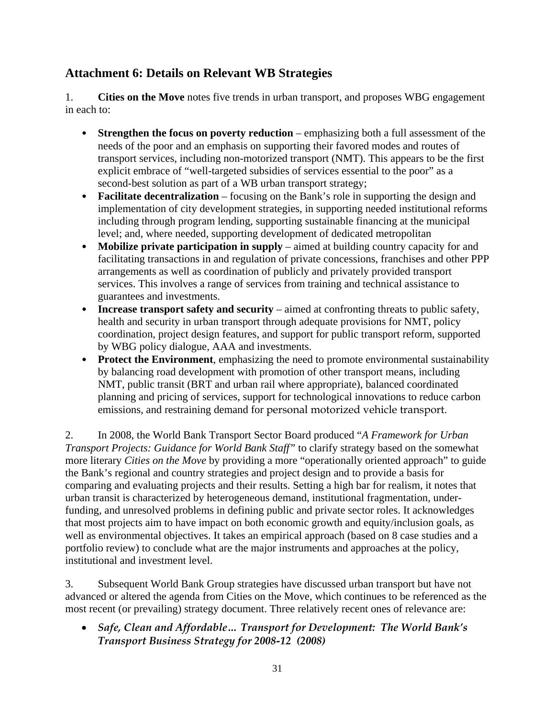# **Attachment 6: Details on Relevant WB Strategies**

1. **Cities on the Move** notes five trends in urban transport, and proposes WBG engagement in each to:

- **Strengthen the focus on poverty reduction** emphasizing both a full assessment of the needs of the poor and an emphasis on supporting their favored modes and routes of transport services, including non-motorized transport (NMT). This appears to be the first explicit embrace of "well-targeted subsidies of services essential to the poor" as a second-best solution as part of a WB urban transport strategy;
- **Facilitate decentralization** focusing on the Bank's role in supporting the design and implementation of city development strategies, in supporting needed institutional reforms including through program lending, supporting sustainable financing at the municipal level; and, where needed, supporting development of dedicated metropolitan
- **Mobilize private participation in supply** aimed at building country capacity for and facilitating transactions in and regulation of private concessions, franchises and other PPP arrangements as well as coordination of publicly and privately provided transport services. This involves a range of services from training and technical assistance to guarantees and investments.
- **Increase transport safety and security** aimed at confronting threats to public safety, health and security in urban transport through adequate provisions for NMT, policy coordination, project design features, and support for public transport reform, supported by WBG policy dialogue, AAA and investments.
- **Protect the Environment**, emphasizing the need to promote environmental sustainability by balancing road development with promotion of other transport means, including NMT, public transit (BRT and urban rail where appropriate), balanced coordinated planning and pricing of services, support for technological innovations to reduce carbon emissions, and restraining demand for personal motorized vehicle transport.

2. In 2008, the World Bank Transport Sector Board produced "*A Framework for Urban Transport Projects: Guidance for World Bank Staff"* to clarify strategy based on the somewhat more literary *Cities on the Move* by providing a more "operationally oriented approach" to guide the Bank's regional and country strategies and project design and to provide a basis for comparing and evaluating projects and their results. Setting a high bar for realism, it notes that urban transit is characterized by heterogeneous demand, institutional fragmentation, underfunding, and unresolved problems in defining public and private sector roles. It acknowledges that most projects aim to have impact on both economic growth and equity/inclusion goals, as well as environmental objectives. It takes an empirical approach (based on 8 case studies and a portfolio review) to conclude what are the major instruments and approaches at the policy, institutional and investment level.

3. Subsequent World Bank Group strategies have discussed urban transport but have not advanced or altered the agenda from Cities on the Move, which continues to be referenced as the most recent (or prevailing) strategy document. Three relatively recent ones of relevance are:

 *Safe, Clean and Affordable… Transport for Development: The World Bank's Transport Business Strategy for 2008-12 (2008)*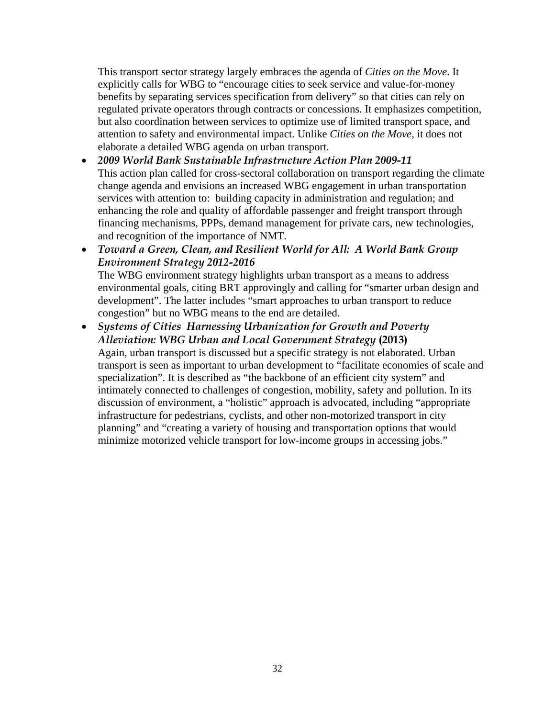This transport sector strategy largely embraces the agenda of *Cities on the Move*. It explicitly calls for WBG to "encourage cities to seek service and value-for-money benefits by separating services specification from delivery" so that cities can rely on regulated private operators through contracts or concessions. It emphasizes competition, but also coordination between services to optimize use of limited transport space, and attention to safety and environmental impact. Unlike *Cities on the Move*, it does not elaborate a detailed WBG agenda on urban transport.

- *2009 World Bank Sustainable Infrastructure Action Plan 2009-11*  This action plan called for cross-sectoral collaboration on transport regarding the climate change agenda and envisions an increased WBG engagement in urban transportation services with attention to: building capacity in administration and regulation; and enhancing the role and quality of affordable passenger and freight transport through financing mechanisms, PPPs, demand management for private cars, new technologies, and recognition of the importance of NMT.
- *Toward a Green, Clean, and Resilient World for All: A World Bank Group Environment Strategy 2012-2016*  The WBG environment strategy highlights urban transport as a means to address environmental goals, citing BRT approvingly and calling for "smarter urban design and development". The latter includes "smart approaches to urban transport to reduce congestion" but no WBG means to the end are detailed.
- *Systems of Cities Harnessing Urbanization for Growth and Poverty Alleviation: WBG Urban and Local Government Strategy* **(2013)** Again, urban transport is discussed but a specific strategy is not elaborated. Urban transport is seen as important to urban development to "facilitate economies of scale and specialization". It is described as "the backbone of an efficient city system" and intimately connected to challenges of congestion, mobility, safety and pollution. In its discussion of environment, a "holistic" approach is advocated, including "appropriate infrastructure for pedestrians, cyclists, and other non-motorized transport in city planning" and "creating a variety of housing and transportation options that would minimize motorized vehicle transport for low-income groups in accessing jobs."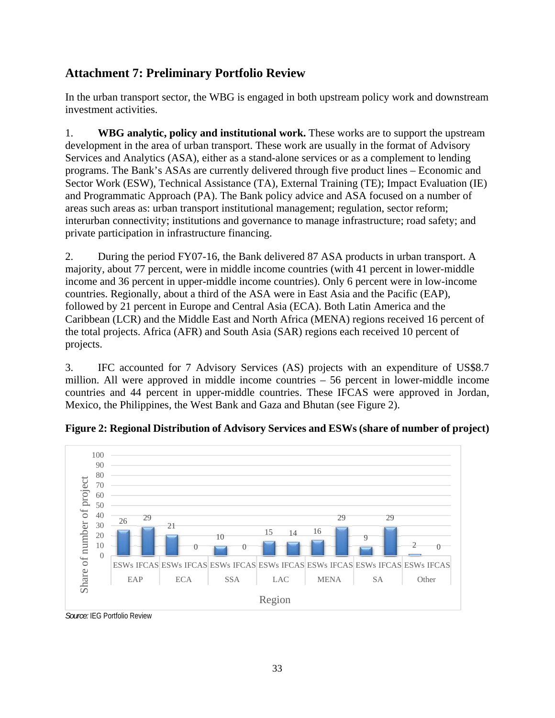# **Attachment 7: Preliminary Portfolio Review**

In the urban transport sector, the WBG is engaged in both upstream policy work and downstream investment activities.

1. **WBG analytic, policy and institutional work.** These works are to support the upstream development in the area of urban transport. These work are usually in the format of Advisory Services and Analytics (ASA), either as a stand-alone services or as a complement to lending programs. The Bank's ASAs are currently delivered through five product lines – Economic and Sector Work (ESW), Technical Assistance (TA), External Training (TE); Impact Evaluation (IE) and Programmatic Approach (PA). The Bank policy advice and ASA focused on a number of areas such areas as: urban transport institutional management; regulation, sector reform; interurban connectivity; institutions and governance to manage infrastructure; road safety; and private participation in infrastructure financing.

2. During the period FY07-16, the Bank delivered 87 ASA products in urban transport. A majority, about 77 percent, were in middle income countries (with 41 percent in lower-middle income and 36 percent in upper-middle income countries). Only 6 percent were in low-income countries. Regionally, about a third of the ASA were in East Asia and the Pacific (EAP), followed by 21 percent in Europe and Central Asia (ECA). Both Latin America and the Caribbean (LCR) and the Middle East and North Africa (MENA) regions received 16 percent of the total projects. Africa (AFR) and South Asia (SAR) regions each received 10 percent of projects.

3. IFC accounted for 7 Advisory Services (AS) projects with an expenditure of US\$8.7 million. All were approved in middle income countries – 56 percent in lower-middle income countries and 44 percent in upper-middle countries. These IFCAS were approved in Jordan, Mexico, the Philippines, the West Bank and Gaza and Bhutan (see Figure 2).



**Figure 2: Regional Distribution of Advisory Services and ESWs (share of number of project)** 

*Source:* IEG Portfolio Review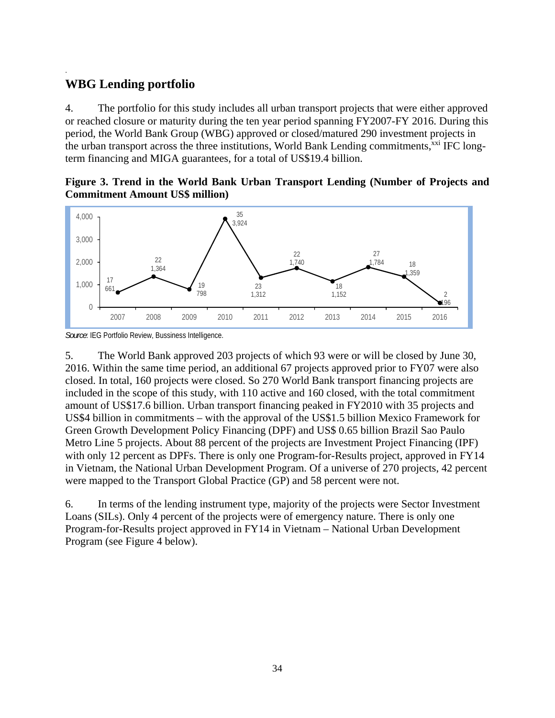# **WBG Lending portfolio**

.

4. The portfolio for this study includes all urban transport projects that were either approved or reached closure or maturity during the ten year period spanning FY2007-FY 2016. During this period, the World Bank Group (WBG) approved or closed/matured 290 investment projects in the urban transport across the three institutions, World Bank Lending commitments,<sup>xxi</sup> IFC longterm financing and MIGA guarantees, for a total of US\$19.4 billion.

**Figure 3. Trend in the World Bank Urban Transport Lending (Number of Projects and Commitment Amount US\$ million)** 



*Source*: IEG Portfolio Review, Bussiness Intelligence.

5. The World Bank approved 203 projects of which 93 were or will be closed by June 30, 2016. Within the same time period, an additional 67 projects approved prior to FY07 were also closed. In total, 160 projects were closed. So 270 World Bank transport financing projects are included in the scope of this study, with 110 active and 160 closed, with the total commitment amount of US\$17.6 billion. Urban transport financing peaked in FY2010 with 35 projects and US\$4 billion in commitments – with the approval of the US\$1.5 billion Mexico Framework for Green Growth Development Policy Financing (DPF) and US\$ 0.65 billion Brazil Sao Paulo Metro Line 5 projects. About 88 percent of the projects are Investment Project Financing (IPF) with only 12 percent as DPFs. There is only one Program-for-Results project, approved in FY14 in Vietnam, the National Urban Development Program. Of a universe of 270 projects, 42 percent were mapped to the Transport Global Practice (GP) and 58 percent were not.

6. In terms of the lending instrument type, majority of the projects were Sector Investment Loans (SILs). Only 4 percent of the projects were of emergency nature. There is only one Program-for-Results project approved in FY14 in Vietnam – National Urban Development Program (see Figure 4 below).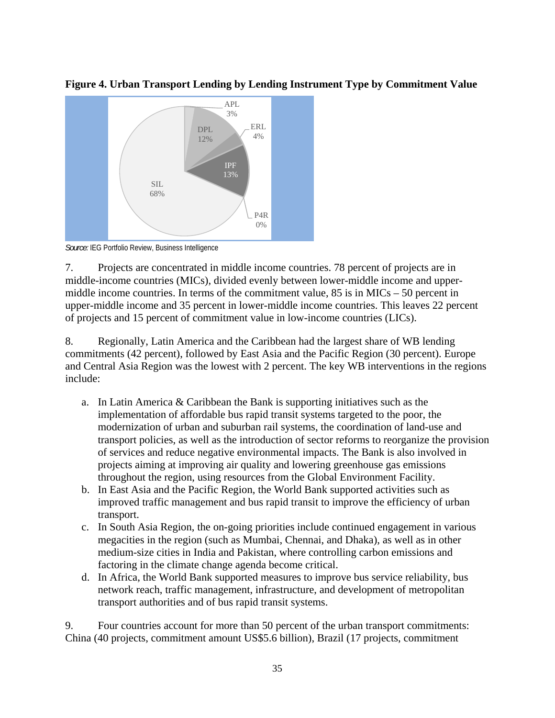

**Figure 4. Urban Transport Lending by Lending Instrument Type by Commitment Value** 

*Source:* IEG Portfolio Review, Business Intelligence

7. Projects are concentrated in middle income countries. 78 percent of projects are in middle-income countries (MICs), divided evenly between lower-middle income and uppermiddle income countries. In terms of the commitment value,  $85$  is in MICs – 50 percent in upper-middle income and 35 percent in lower-middle income countries. This leaves 22 percent of projects and 15 percent of commitment value in low-income countries (LICs).

8. Regionally, Latin America and the Caribbean had the largest share of WB lending commitments (42 percent), followed by East Asia and the Pacific Region (30 percent). Europe and Central Asia Region was the lowest with 2 percent. The key WB interventions in the regions include:

- a. In Latin America & Caribbean the Bank is supporting initiatives such as the implementation of affordable bus rapid transit systems targeted to the poor, the modernization of urban and suburban rail systems, the coordination of land-use and transport policies, as well as the introduction of sector reforms to reorganize the provision of services and reduce negative environmental impacts. The Bank is also involved in projects aiming at improving air quality and lowering greenhouse gas emissions throughout the region, using resources from the Global Environment Facility.
- b. In East Asia and the Pacific Region, the World Bank supported activities such as improved traffic management and bus rapid transit to improve the efficiency of urban transport.
- c. In South Asia Region, the on-going priorities include continued engagement in various megacities in the region (such as Mumbai, Chennai, and Dhaka), as well as in other medium-size cities in India and Pakistan, where controlling carbon emissions and factoring in the climate change agenda become critical.
- d. In Africa, the World Bank supported measures to improve bus service reliability, bus network reach, traffic management, infrastructure, and development of metropolitan transport authorities and of bus rapid transit systems.

9. Four countries account for more than 50 percent of the urban transport commitments: China (40 projects, commitment amount US\$5.6 billion), Brazil (17 projects, commitment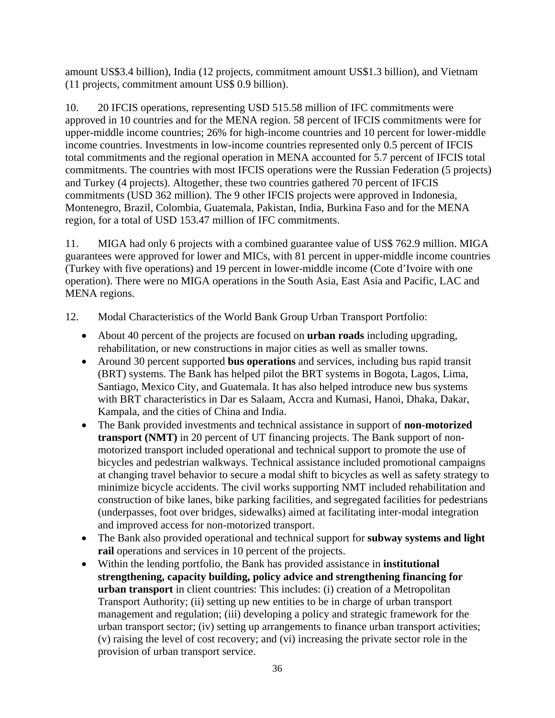amount US\$3.4 billion), India (12 projects, commitment amount US\$1.3 billion), and Vietnam (11 projects, commitment amount US\$ 0.9 billion).

10. 20 IFCIS operations, representing USD 515.58 million of IFC commitments were approved in 10 countries and for the MENA region. 58 percent of IFCIS commitments were for upper-middle income countries; 26% for high-income countries and 10 percent for lower-middle income countries. Investments in low-income countries represented only 0.5 percent of IFCIS total commitments and the regional operation in MENA accounted for 5.7 percent of IFCIS total commitments. The countries with most IFCIS operations were the Russian Federation (5 projects) and Turkey (4 projects). Altogether, these two countries gathered 70 percent of IFCIS commitments (USD 362 million). The 9 other IFCIS projects were approved in Indonesia, Montenegro, Brazil, Colombia, Guatemala, Pakistan, India, Burkina Faso and for the MENA region, for a total of USD 153.47 million of IFC commitments.

11. MIGA had only 6 projects with a combined guarantee value of US\$ 762.9 million. MIGA guarantees were approved for lower and MICs, with 81 percent in upper-middle income countries (Turkey with five operations) and 19 percent in lower-middle income (Cote d'Ivoire with one operation). There were no MIGA operations in the South Asia, East Asia and Pacific, LAC and MENA regions.

- 12. Modal Characteristics of the World Bank Group Urban Transport Portfolio:
	- About 40 percent of the projects are focused on **urban roads** including upgrading, rehabilitation, or new constructions in major cities as well as smaller towns.
	- Around 30 percent supported **bus operations** and services, including bus rapid transit (BRT) systems. The Bank has helped pilot the BRT systems in Bogota, Lagos, Lima, Santiago, Mexico City, and Guatemala. It has also helped introduce new bus systems with BRT characteristics in Dar es Salaam, Accra and Kumasi, Hanoi, Dhaka, Dakar, Kampala, and the cities of China and India.
	- The Bank provided investments and technical assistance in support of **non-motorized transport (NMT)** in 20 percent of UT financing projects. The Bank support of nonmotorized transport included operational and technical support to promote the use of bicycles and pedestrian walkways. Technical assistance included promotional campaigns at changing travel behavior to secure a modal shift to bicycles as well as safety strategy to minimize bicycle accidents. The civil works supporting NMT included rehabilitation and construction of bike lanes, bike parking facilities, and segregated facilities for pedestrians (underpasses, foot over bridges, sidewalks) aimed at facilitating inter-modal integration and improved access for non-motorized transport.
	- The Bank also provided operational and technical support for **subway systems and light rail** operations and services in 10 percent of the projects.
	- Within the lending portfolio, the Bank has provided assistance in **institutional strengthening, capacity building, policy advice and strengthening financing for urban transport** in client countries: This includes: (i) creation of a Metropolitan Transport Authority; (ii) setting up new entities to be in charge of urban transport management and regulation; (iii) developing a policy and strategic framework for the urban transport sector; (iv) setting up arrangements to finance urban transport activities; (v) raising the level of cost recovery; and (vi) increasing the private sector role in the provision of urban transport service.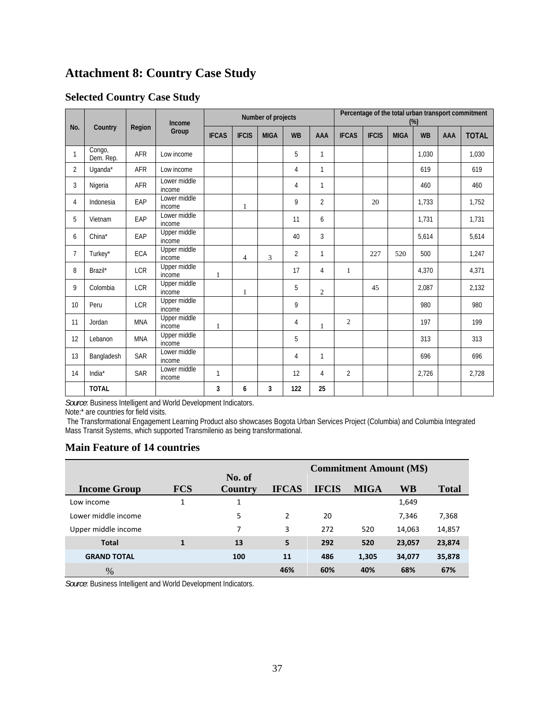# **Attachment 8: Country Case Study**

### **Selected Country Case Study**

| Income         |                     |            |                               | Number of projects |              |             |                | Percentage of the total urban transport commitment<br>(%) |                |              |             |           |            |              |
|----------------|---------------------|------------|-------------------------------|--------------------|--------------|-------------|----------------|-----------------------------------------------------------|----------------|--------------|-------------|-----------|------------|--------------|
| No.            | Country             | Region     | Group                         | <b>IFCAS</b>       | <b>IFCIS</b> | <b>MIGA</b> | <b>WB</b>      | AAA                                                       | <b>IFCAS</b>   | <b>IFCIS</b> | <b>MIGA</b> | <b>WB</b> | <b>AAA</b> | <b>TOTAL</b> |
| 1              | Congo,<br>Dem. Rep. | <b>AFR</b> | Low income                    |                    |              |             | 5              | 1                                                         |                |              |             | 1.030     |            | 1,030        |
| $\overline{2}$ | Uqanda*             | <b>AFR</b> | Low income                    |                    |              |             | 4              | 1                                                         |                |              |             | 619       |            | 619          |
| 3              | Nigeria             | AFR        | Lower middle<br>income        |                    |              |             | 4              | 1                                                         |                |              |             | 460       |            | 460          |
| 4              | Indonesia           | EAP        | Lower middle<br>income        |                    | 1            |             | 9              | $\overline{2}$                                            |                | 20           |             | 1.733     |            | 1,752        |
| 5              | Vietnam             | EAP        | Lower middle<br>income        |                    |              |             | 11             | 6                                                         |                |              |             | 1,731     |            | 1,731        |
| 6              | China*              | EAP        | Upper middle<br>income        |                    |              |             | 40             | 3                                                         |                |              |             | 5,614     |            | 5,614        |
| 7              | Turkey*             | ECA        | Upper middle<br>income        |                    | 4            | 3           | $\overline{2}$ | $\mathbf{1}$                                              |                | 227          | 520         | 500       |            | 1,247        |
| 8              | Brazil*             | <b>LCR</b> | Upper middle<br>income        | 1                  |              |             | 17             | 4                                                         | 1              |              |             | 4.370     |            | 4,371        |
| 9              | Colombia            | <b>LCR</b> | <b>Upper middle</b><br>income |                    | $\mathbf{1}$ |             | 5              | $\mathfrak{2}$                                            |                | 45           |             | 2,087     |            | 2,132        |
| 10             | Peru                | <b>LCR</b> | Upper middle<br>income        |                    |              |             | 9              |                                                           |                |              |             | 980       |            | 980          |
| 11             | Jordan              | <b>MNA</b> | Upper middle<br>income        | $\mathbf{1}$       |              |             | 4              | $\mathbf{1}$                                              | $\overline{c}$ |              |             | 197       |            | 199          |
| 12             | Lebanon             | <b>MNA</b> | Upper middle<br>income        |                    |              |             | 5              |                                                           |                |              |             | 313       |            | 313          |
| 13             | Bangladesh          | <b>SAR</b> | Lower middle<br>income        |                    |              |             | 4              | 1                                                         |                |              |             | 696       |            | 696          |
| 14             | India $*$           | <b>SAR</b> | Lower middle<br>income        | $\mathbf{1}$       |              |             | 12             | 4                                                         | $\overline{2}$ |              |             | 2,726     |            | 2,728        |
|                | <b>TOTAL</b>        |            |                               | 3                  | 6            | 3           | 122            | 25                                                        |                |              |             |           |            |              |

*Source*: Business Intelligent and World Development Indicators.

Note:\* are countries for field visits.

 The Transformational Engagement Learning Product also showcases Bogota Urban Services Project (Columbia) and Columbia Integrated Mass Transit Systems, which supported Transmilenio as being transformational.

### **Main Feature of 14 countries**

|                     |            |                   |              |              | <b>Commitment Amount (M\$)</b> |        |              |
|---------------------|------------|-------------------|--------------|--------------|--------------------------------|--------|--------------|
| <b>Income Group</b> | <b>FCS</b> | No. of<br>Country | <b>IFCAS</b> | <b>IFCIS</b> | <b>MIGA</b>                    | WB     | <b>Total</b> |
| Low income          |            | 1                 |              |              |                                | 1,649  |              |
| Lower middle income |            | 5                 | 2            | 20           |                                | 7,346  | 7,368        |
| Upper middle income |            | 7                 | 3            | 272          | 520                            | 14,063 | 14,857       |
| <b>Total</b>        | 1          | 13                | 5            | 292          | 520                            | 23,057 | 23,874       |
| <b>GRAND TOTAL</b>  |            | 100               | 11           | 486          | 1,305                          | 34,077 | 35,878       |
| %                   |            |                   | 46%          | 60%          | 40%                            | 68%    | 67%          |

*Source*: Business Intelligent and World Development Indicators.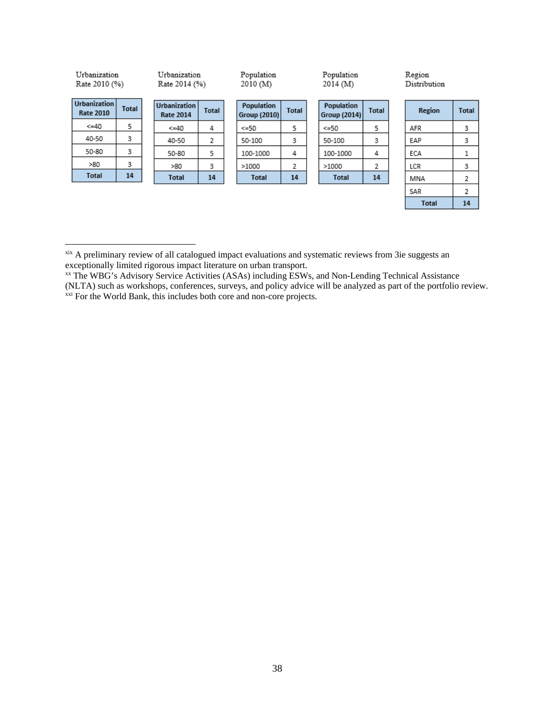| Urbanization<br>Rate 2010 (%)    |              | Urbanization<br>Rate 2014 (%)           |              | Population<br>2010 (M)     |              |  | Population<br>2014(M)      |              |  | Region<br>Distribution |              |  |
|----------------------------------|--------------|-----------------------------------------|--------------|----------------------------|--------------|--|----------------------------|--------------|--|------------------------|--------------|--|
| Urbanization<br><b>Rate 2010</b> | <b>Total</b> | <b>Urbanization</b><br><b>Rate 2014</b> | <b>Total</b> | Population<br>Group (2010) | <b>Total</b> |  | Population<br>Group (2014) | <b>Total</b> |  | Region                 | <b>Total</b> |  |
| $\leq$ =40                       | 5            | $\leq$ =40                              | 4            | <=50                       | 5            |  | $\leq$ =50                 | 5            |  | AFR                    | 3            |  |
| 40-50                            | 3            | 40-50                                   | 2            | 50-100                     | 3            |  | 50-100                     | 3            |  | EAP                    | 3            |  |
| 50-80                            | 3            | 50-80                                   | 5            | 100-1000                   | 4            |  | 100-1000                   | 4            |  | ECA                    | 1            |  |
| >80                              | 3            | >80                                     | 3            | >1000                      | 2            |  | >1000                      | 2            |  | LCR                    | 3            |  |
| <b>Total</b>                     | 14           | <b>Total</b>                            | 14           | <b>Total</b>               | 14           |  | <b>Total</b>               | 14           |  | MNA                    | 2            |  |
|                                  |              |                                         |              |                            |              |  |                            |              |  | SAR                    | 2            |  |
|                                  |              |                                         |              |                            |              |  |                            |              |  | <b>Total</b>           | 14           |  |

 $\overline{a}$ 

<sup>&</sup>lt;sup>xix</sup> A preliminary review of all catalogued impact evaluations and systematic reviews from 3ie suggests an exceptionally limited rigorous impact literature on urban transport.

<sup>&</sup>lt;sup>xx</sup> The WBG's Advisory Service Activities (ASAs) including ESWs, and Non-Lending Technical Assistance (NLTA) such as workshops, conferences, surveys, and policy advice will be analyzed as part of the portfolio review.  $\frac{xx}{x}$  For the World Bank, this includes both core and non-core projects.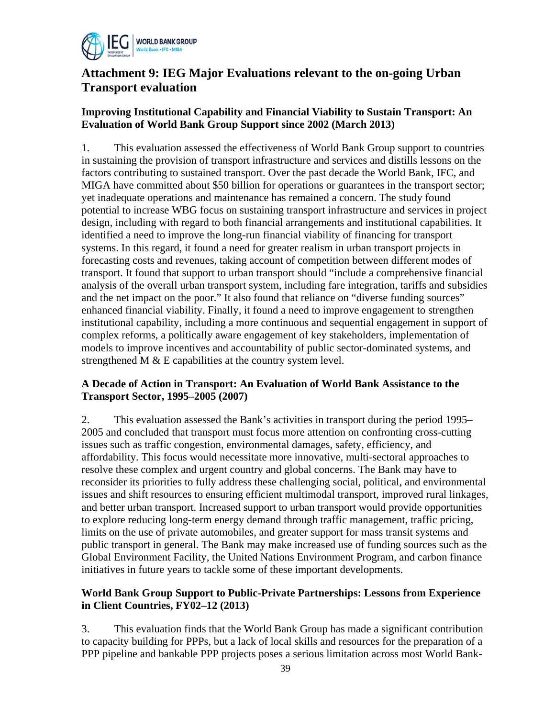

# **Attachment 9: IEG Major Evaluations relevant to the on-going Urban Transport evaluation**

## **Improving Institutional Capability and Financial Viability to Sustain Transport: An Evaluation of World Bank Group Support since 2002 (March 2013)**

1. This evaluation assessed the effectiveness of World Bank Group support to countries in sustaining the provision of transport infrastructure and services and distills lessons on the factors contributing to sustained transport. Over the past decade the World Bank, IFC, and MIGA have committed about \$50 billion for operations or guarantees in the transport sector; yet inadequate operations and maintenance has remained a concern. The study found potential to increase WBG focus on sustaining transport infrastructure and services in project design, including with regard to both financial arrangements and institutional capabilities. It identified a need to improve the long-run financial viability of financing for transport systems. In this regard, it found a need for greater realism in urban transport projects in forecasting costs and revenues, taking account of competition between different modes of transport. It found that support to urban transport should "include a comprehensive financial analysis of the overall urban transport system, including fare integration, tariffs and subsidies and the net impact on the poor." It also found that reliance on "diverse funding sources" enhanced financial viability. Finally, it found a need to improve engagement to strengthen institutional capability, including a more continuous and sequential engagement in support of complex reforms, a politically aware engagement of key stakeholders, implementation of models to improve incentives and accountability of public sector-dominated systems, and strengthened M & E capabilities at the country system level.

### **A Decade of Action in Transport: An Evaluation of World Bank Assistance to the Transport Sector, 1995–2005 (2007)**

2. This evaluation assessed the Bank's activities in transport during the period 1995– 2005 and concluded that transport must focus more attention on confronting cross-cutting issues such as traffic congestion, environmental damages, safety, efficiency, and affordability. This focus would necessitate more innovative, multi-sectoral approaches to resolve these complex and urgent country and global concerns. The Bank may have to reconsider its priorities to fully address these challenging social, political, and environmental issues and shift resources to ensuring efficient multimodal transport, improved rural linkages, and better urban transport. Increased support to urban transport would provide opportunities to explore reducing long-term energy demand through traffic management, traffic pricing, limits on the use of private automobiles, and greater support for mass transit systems and public transport in general. The Bank may make increased use of funding sources such as the Global Environment Facility, the United Nations Environment Program, and carbon finance initiatives in future years to tackle some of these important developments.

### **World Bank Group Support to Public-Private Partnerships: Lessons from Experience in Client Countries, FY02–12 (2013)**

3. This evaluation finds that the World Bank Group has made a significant contribution to capacity building for PPPs, but a lack of local skills and resources for the preparation of a PPP pipeline and bankable PPP projects poses a serious limitation across most World Bank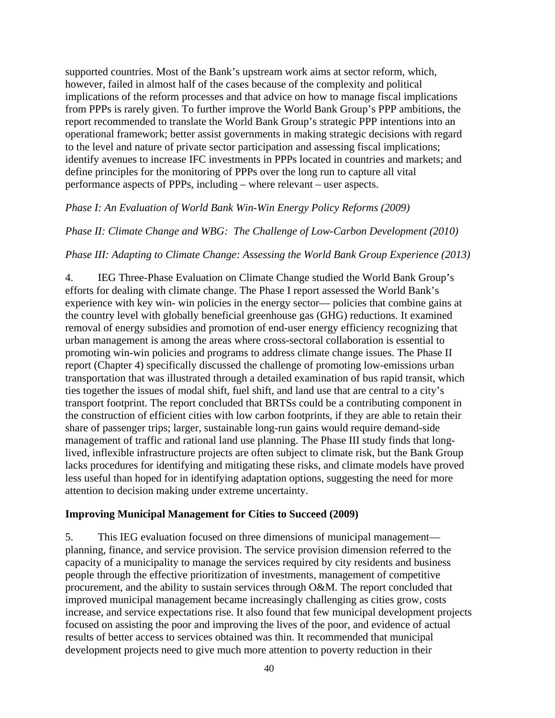supported countries. Most of the Bank's upstream work aims at sector reform, which, however, failed in almost half of the cases because of the complexity and political implications of the reform processes and that advice on how to manage fiscal implications from PPPs is rarely given. To further improve the World Bank Group's PPP ambitions, the report recommended to translate the World Bank Group's strategic PPP intentions into an operational framework; better assist governments in making strategic decisions with regard to the level and nature of private sector participation and assessing fiscal implications; identify avenues to increase IFC investments in PPPs located in countries and markets; and define principles for the monitoring of PPPs over the long run to capture all vital performance aspects of PPPs, including – where relevant – user aspects.

### *Phase I: An Evaluation of World Bank Win-Win Energy Policy Reforms (2009)*

### *Phase II: Climate Change and WBG: The Challenge of Low-Carbon Development (2010)*

### *Phase III: Adapting to Climate Change: Assessing the World Bank Group Experience (2013)*

4. IEG Three-Phase Evaluation on Climate Change studied the World Bank Group's efforts for dealing with climate change. The Phase I report assessed the World Bank's experience with key win- win policies in the energy sector— policies that combine gains at the country level with globally beneficial greenhouse gas (GHG) reductions. It examined removal of energy subsidies and promotion of end-user energy efficiency recognizing that urban management is among the areas where cross-sectoral collaboration is essential to promoting win-win policies and programs to address climate change issues. The Phase II report (Chapter 4) specifically discussed the challenge of promoting low-emissions urban transportation that was illustrated through a detailed examination of bus rapid transit, which ties together the issues of modal shift, fuel shift, and land use that are central to a city's transport footprint. The report concluded that BRTSs could be a contributing component in the construction of efficient cities with low carbon footprints, if they are able to retain their share of passenger trips; larger, sustainable long-run gains would require demand-side management of traffic and rational land use planning. The Phase III study finds that longlived, inflexible infrastructure projects are often subject to climate risk, but the Bank Group lacks procedures for identifying and mitigating these risks, and climate models have proved less useful than hoped for in identifying adaptation options, suggesting the need for more attention to decision making under extreme uncertainty.

### **Improving Municipal Management for Cities to Succeed (2009)**

5. This IEG evaluation focused on three dimensions of municipal management planning, finance, and service provision. The service provision dimension referred to the capacity of a municipality to manage the services required by city residents and business people through the effective prioritization of investments, management of competitive procurement, and the ability to sustain services through O&M. The report concluded that improved municipal management became increasingly challenging as cities grow, costs increase, and service expectations rise. It also found that few municipal development projects focused on assisting the poor and improving the lives of the poor, and evidence of actual results of better access to services obtained was thin. It recommended that municipal development projects need to give much more attention to poverty reduction in their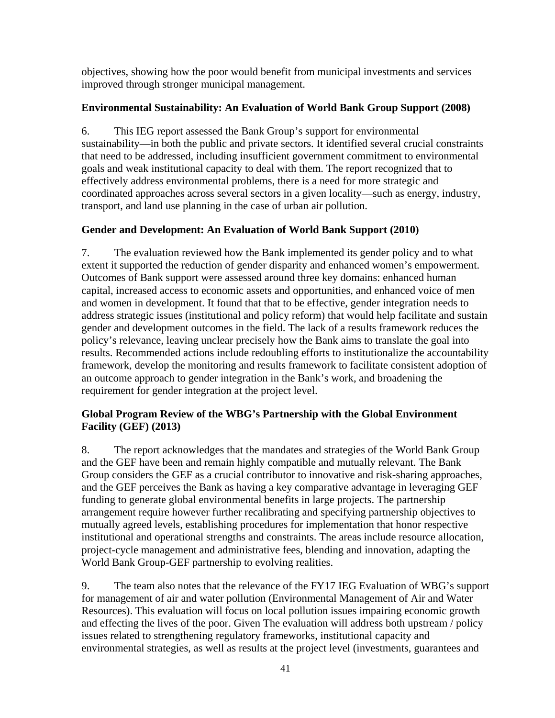objectives, showing how the poor would benefit from municipal investments and services improved through stronger municipal management.

## **Environmental Sustainability: An Evaluation of World Bank Group Support (2008)**

6. This IEG report assessed the Bank Group's support for environmental sustainability—in both the public and private sectors. It identified several crucial constraints that need to be addressed, including insufficient government commitment to environmental goals and weak institutional capacity to deal with them. The report recognized that to effectively address environmental problems, there is a need for more strategic and coordinated approaches across several sectors in a given locality—such as energy, industry, transport, and land use planning in the case of urban air pollution.

## **Gender and Development: An Evaluation of World Bank Support (2010)**

7. The evaluation reviewed how the Bank implemented its gender policy and to what extent it supported the reduction of gender disparity and enhanced women's empowerment. Outcomes of Bank support were assessed around three key domains: enhanced human capital, increased access to economic assets and opportunities, and enhanced voice of men and women in development. It found that that to be effective, gender integration needs to address strategic issues (institutional and policy reform) that would help facilitate and sustain gender and development outcomes in the field. The lack of a results framework reduces the policy's relevance, leaving unclear precisely how the Bank aims to translate the goal into results. Recommended actions include redoubling efforts to institutionalize the accountability framework, develop the monitoring and results framework to facilitate consistent adoption of an outcome approach to gender integration in the Bank's work, and broadening the requirement for gender integration at the project level.

## **Global Program Review of the WBG's Partnership with the Global Environment Facility (GEF) (2013)**

8. The report acknowledges that the mandates and strategies of the World Bank Group and the GEF have been and remain highly compatible and mutually relevant. The Bank Group considers the GEF as a crucial contributor to innovative and risk-sharing approaches, and the GEF perceives the Bank as having a key comparative advantage in leveraging GEF funding to generate global environmental benefits in large projects. The partnership arrangement require however further recalibrating and specifying partnership objectives to mutually agreed levels, establishing procedures for implementation that honor respective institutional and operational strengths and constraints. The areas include resource allocation, project-cycle management and administrative fees, blending and innovation, adapting the World Bank Group-GEF partnership to evolving realities.

9. The team also notes that the relevance of the FY17 IEG Evaluation of WBG's support for management of air and water pollution (Environmental Management of Air and Water Resources). This evaluation will focus on local pollution issues impairing economic growth and effecting the lives of the poor. Given The evaluation will address both upstream / policy issues related to strengthening regulatory frameworks, institutional capacity and environmental strategies, as well as results at the project level (investments, guarantees and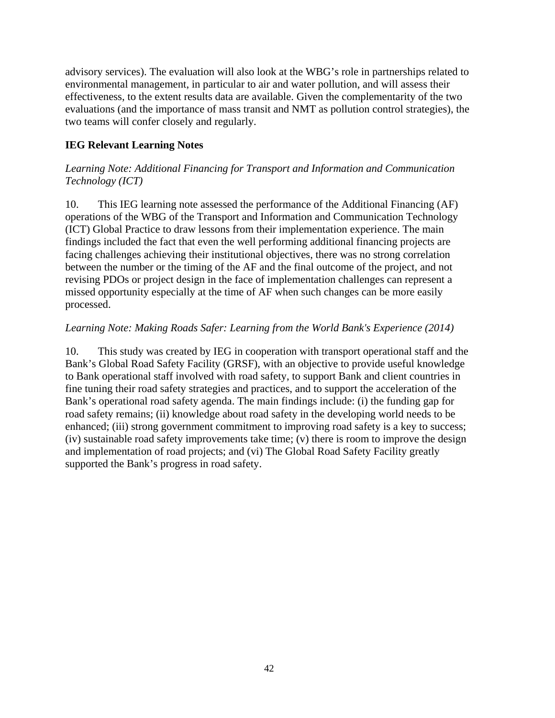advisory services). The evaluation will also look at the WBG's role in partnerships related to environmental management, in particular to air and water pollution, and will assess their effectiveness, to the extent results data are available. Given the complementarity of the two evaluations (and the importance of mass transit and NMT as pollution control strategies), the two teams will confer closely and regularly.

## **IEG Relevant Learning Notes**

### *Learning Note: Additional Financing for Transport and Information and Communication Technology (ICT)*

10. This IEG learning note assessed the performance of the Additional Financing (AF) operations of the WBG of the Transport and Information and Communication Technology (ICT) Global Practice to draw lessons from their implementation experience. The main findings included the fact that even the well performing additional financing projects are facing challenges achieving their institutional objectives, there was no strong correlation between the number or the timing of the AF and the final outcome of the project, and not revising PDOs or project design in the face of implementation challenges can represent a missed opportunity especially at the time of AF when such changes can be more easily processed.

### *Learning Note: Making Roads Safer: Learning from the World Bank's Experience (2014)*

10. This study was created by IEG in cooperation with transport operational staff and the Bank's Global Road Safety Facility (GRSF), with an objective to provide useful knowledge to Bank operational staff involved with road safety, to support Bank and client countries in fine tuning their road safety strategies and practices, and to support the acceleration of the Bank's operational road safety agenda. The main findings include: (i) the funding gap for road safety remains; (ii) knowledge about road safety in the developing world needs to be enhanced; (iii) strong government commitment to improving road safety is a key to success; (iv) sustainable road safety improvements take time; (v) there is room to improve the design and implementation of road projects; and (vi) The Global Road Safety Facility greatly supported the Bank's progress in road safety.